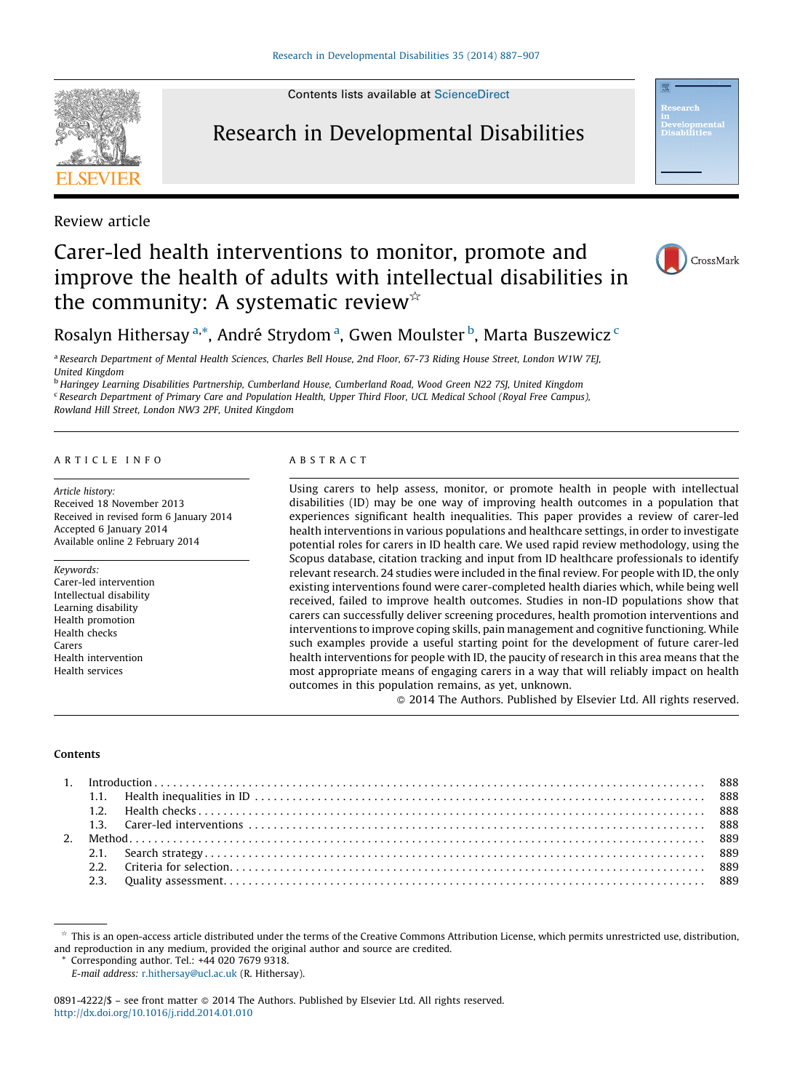Contents lists available at [ScienceDirect](http://www.sciencedirect.com/science/journal/08914222)

# Research in Developmental Disabilities

Review article

# Carer-led health interventions to monitor, promote and improve the health of adults with intellectual disabilities in the community: A systematic review<sup> $\hat{\mathbf{x}}$ </sup>



a Research Department of Mental Health Sciences, Charles Bell House, 2nd Floor, 67-73 Riding House Street, London W1W 7EJ, United Kingdom

<sup>b</sup> Haringey Learning Disabilities Partnership, Cumberland House, Cumberland Road, Wood Green N22 7SJ, United Kingdom

<sup>c</sup> Research Department of Primary Care and Population Health, Upper Third Floor, UCL Medical School (Royal Free Campus),

Rowland Hill Street, London NW3 2PF, United Kingdom

## A R T I C L E I N F O

#### Article history:

Received 18 November 2013 Received in revised form 6 January 2014 Accepted 6 January 2014 Available online 2 February 2014

Keywords: Carer-led intervention Intellectual disability Learning disability Health promotion Health checks Carers Health intervention Health services

# A B S T R A C T

Using carers to help assess, monitor, or promote health in people with intellectual disabilities (ID) may be one way of improving health outcomes in a population that experiences significant health inequalities. This paper provides a review of carer-led health interventions in various populations and healthcare settings, in order to investigate potential roles for carers in ID health care. We used rapid review methodology, using the Scopus database, citation tracking and input from ID healthcare professionals to identify relevant research. 24 studies were included in the final review. For people with ID, the only existing interventions found were carer-completed health diaries which, while being well received, failed to improve health outcomes. Studies in non-ID populations show that carers can successfully deliver screening procedures, health promotion interventions and interventions to improve coping skills, pain management and cognitive functioning. While such examples provide a useful starting point for the development of future carer-led health interventions for people with ID, the paucity of research in this area means that the most appropriate means of engaging carers in a way that will reliably impact on health outcomes in this population remains, as yet, unknown.

- 2014 The Authors. Published by Elsevier Ltd. All rights reserved.

#### **Contents**





 $*$  This is an open-access article distributed under the terms of the Creative Commons Attribution License, which permits unrestricted use, distribution, and reproduction in any medium, provided the original author and source are credited.

Corresponding author. Tel.:  $+44$  020 7679 9318.

E-mail address: [r.hithersay@ucl.ac.uk](mailto:r.hithersay@ucl.ac.uk) (R. Hithersay).

<sup>0891-4222/\$ –</sup> see front matter © 2014 The Authors. Published by Elsevier Ltd. All rights reserved. <http://dx.doi.org/10.1016/j.ridd.2014.01.010>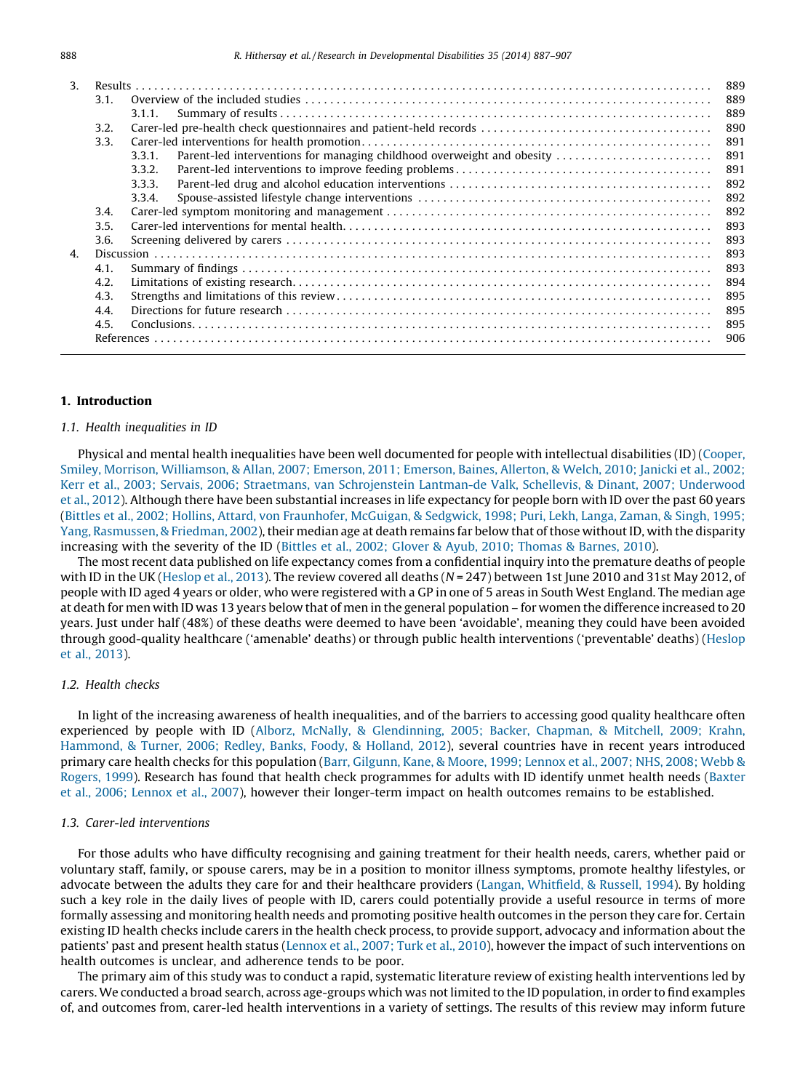| 3.             |      |                                                                                  | 889 |  |  |  |  |  |  |  |
|----------------|------|----------------------------------------------------------------------------------|-----|--|--|--|--|--|--|--|
|                | 3.1. |                                                                                  | 889 |  |  |  |  |  |  |  |
|                |      | 3.1.1.                                                                           | 889 |  |  |  |  |  |  |  |
|                | 3.2. |                                                                                  | 890 |  |  |  |  |  |  |  |
|                | 3.3. |                                                                                  | 891 |  |  |  |  |  |  |  |
|                |      | Parent-led interventions for managing childhood overweight and obesity<br>3.3.1. | 891 |  |  |  |  |  |  |  |
|                |      | 3.3.2                                                                            |     |  |  |  |  |  |  |  |
|                |      | 3.3.3.                                                                           | 892 |  |  |  |  |  |  |  |
|                |      | 3.3.4.                                                                           |     |  |  |  |  |  |  |  |
|                | 3.4. |                                                                                  | 892 |  |  |  |  |  |  |  |
|                | 3.5. |                                                                                  | 893 |  |  |  |  |  |  |  |
|                | 3.6. |                                                                                  | 893 |  |  |  |  |  |  |  |
| $\mathbf{4}$ . |      |                                                                                  |     |  |  |  |  |  |  |  |
|                | 4.1. |                                                                                  | 893 |  |  |  |  |  |  |  |
|                | 4.2. |                                                                                  | 894 |  |  |  |  |  |  |  |
|                | 4.3. |                                                                                  | 895 |  |  |  |  |  |  |  |
|                | 4.4. |                                                                                  | 895 |  |  |  |  |  |  |  |
|                | 4.5. |                                                                                  | 895 |  |  |  |  |  |  |  |
|                |      |                                                                                  | 906 |  |  |  |  |  |  |  |
|                |      |                                                                                  |     |  |  |  |  |  |  |  |

#### 1. Introduction

#### 1.1. Health inequalities in ID

Physical and mental health inequalities have been well documented for people with intellectual disabilities (ID) ([Cooper,](#page-19-0) Smiley, Morrison, [Williamson,](#page-19-0) & Allan, 2007; Emerson, 2011; Emerson, Baines, Allerton, & Welch, 2010; Janicki et al., 2002; Kerr et al., 2003; Servais, 2006; Straetmans, van [Schrojenstein](#page-19-0) Lantman-de Valk, Schellevis, & Dinant, 2007; Underwood et al., [2012\)](#page-19-0). Although there have been substantial increases in life expectancy for people born with ID over the past 60 years (Bittles et al., 2002; Hollins, Attard, von [Fraunhofer,](#page-19-0) McGuigan, & Sedgwick, 1998; Puri, Lekh, Langa, Zaman, & Singh, 1995; Yang, [Rasmussen,](#page-19-0) & Friedman, 2002), their median age at death remains far below that of those without ID, with the disparity increasing with the severity of the ID (Bittles et al., 2002; Glover & Ayub, 2010; [Thomas](#page-19-0) & Barnes, 2010).

The most recent data published on life expectancy comes from a confidential inquiry into the premature deaths of people with ID in the UK ([Heslop](#page-19-0) et al., 2013). The review covered all deaths ( $N = 247$ ) between 1st June 2010 and 31st May 2012, of people with ID aged 4 years or older, who were registered with a GP in one of 5 areas in South West England. The median age at death for men with ID was 13 years below that of men in the general population – for women the difference increased to 20 years. Just under half (48%) of these deaths were deemed to have been 'avoidable', meaning they could have been avoided through good-quality healthcare ('amenable' deaths) or through public health interventions ('preventable' deaths) [\(Heslop](#page-19-0) et al., [2013\)](#page-19-0).

# 1.2. Health checks

In light of the increasing awareness of health inequalities, and of the barriers to accessing good quality healthcare often experienced by people with ID (Alborz, McNally, & [Glendinning,](#page-19-0) 2005; Backer, Chapman, & Mitchell, 2009; Krahn, [Hammond,](#page-19-0) & Turner, 2006; Redley, Banks, Foody, & Holland, 2012), several countries have in recent years introduced primary care health checks for this population (Barr, [Gilgunn,](#page-19-0) Kane, & Moore, 1999; Lennox et al., 2007; NHS, 2008; Webb & [Rogers,](#page-19-0) 1999). Research has found that health check programmes for adults with ID identify unmet health needs ([Baxter](#page-19-0) et al., 2006; [Lennox](#page-19-0) et al., 2007), however their longer-term impact on health outcomes remains to be established.

#### 1.3. Carer-led interventions

For those adults who have difficulty recognising and gaining treatment for their health needs, carers, whether paid or voluntary staff, family, or spouse carers, may be in a position to monitor illness symptoms, promote healthy lifestyles, or advocate between the adults they care for and their healthcare providers (Langan, [Whitfield,](#page-19-0) & Russell, 1994). By holding such a key role in the daily lives of people with ID, carers could potentially provide a useful resource in terms of more formally assessing and monitoring health needs and promoting positive health outcomes in the person they care for. Certain existing ID health checks include carers in the health check process, to provide support, advocacy and information about the patients' past and present health status ([Lennox](#page-19-0) et al., 2007; Turk et al., 2010), however the impact of such interventions on health outcomes is unclear, and adherence tends to be poor.

The primary aim of this study was to conduct a rapid, systematic literature review of existing health interventions led by carers. We conducted a broad search, across age-groups which was notlimited to the ID population, in order to find examples of, and outcomes from, carer-led health interventions in a variety of settings. The results of this review may inform future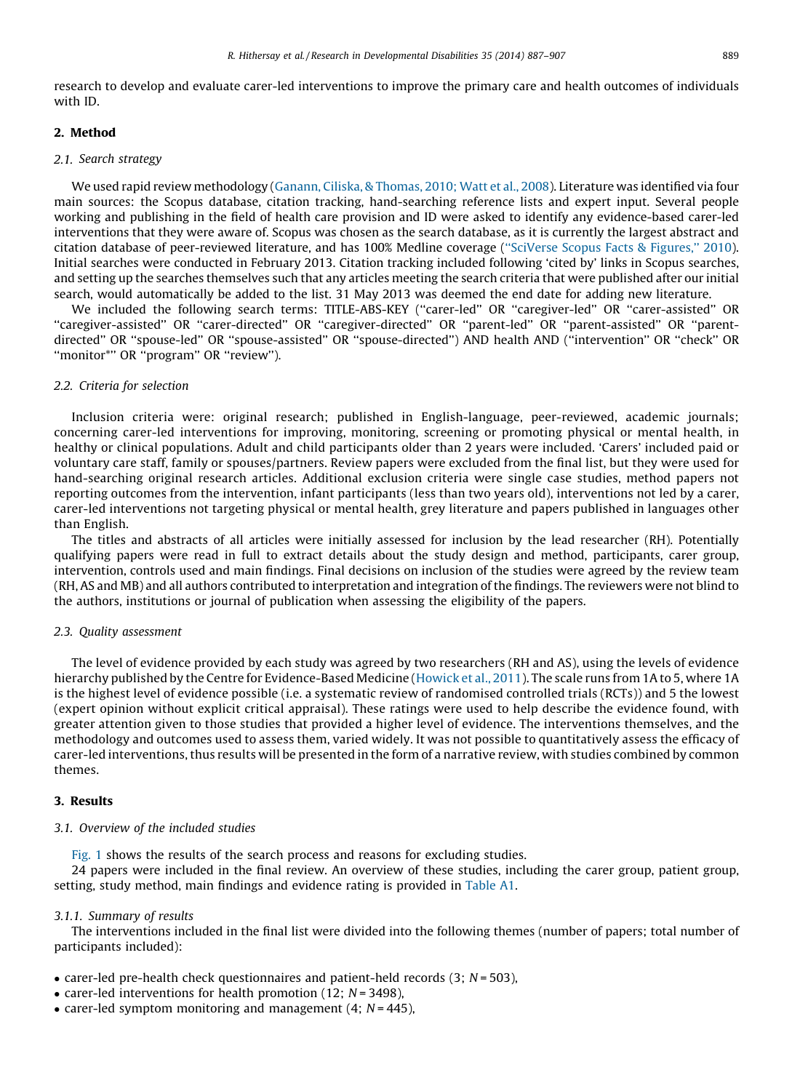research to develop and evaluate carer-led interventions to improve the primary care and health outcomes of individuals with ID.

## 2. Method

## 2.1. Search strategy

We used rapid review methodology (Ganann, Ciliska, & [Thomas,](#page-19-0) 2010; Watt et al., 2008). Literature was identified via four main sources: the Scopus database, citation tracking, hand-searching reference lists and expert input. Several people working and publishing in the field of health care provision and ID were asked to identify any evidence-based carer-led interventions that they were aware of. Scopus was chosen as the search database, as it is currently the largest abstract and citation database of peer-reviewed literature, and has 100% Medline coverage ([''SciVerse](#page-20-0) Scopus Facts & Figures,'' 2010). Initial searches were conducted in February 2013. Citation tracking included following 'cited by' links in Scopus searches, and setting up the searches themselves such that any articles meeting the search criteria that were published after our initial search, would automatically be added to the list. 31 May 2013 was deemed the end date for adding new literature.

We included the following search terms: TITLE-ABS-KEY (''carer-led'' OR ''caregiver-led'' OR ''carer-assisted'' OR ''caregiver-assisted'' OR ''carer-directed'' OR ''caregiver-directed'' OR ''parent-led'' OR ''parent-assisted'' OR ''parentdirected'' OR ''spouse-led'' OR ''spouse-assisted'' OR ''spouse-directed'') AND health AND (''intervention'' OR ''check'' OR "monitor\*" OR "program" OR "review").

## 2.2. Criteria for selection

Inclusion criteria were: original research; published in English-language, peer-reviewed, academic journals; concerning carer-led interventions for improving, monitoring, screening or promoting physical or mental health, in healthy or clinical populations. Adult and child participants older than 2 years were included. 'Carers' included paid or voluntary care staff, family or spouses/partners. Review papers were excluded from the final list, but they were used for hand-searching original research articles. Additional exclusion criteria were single case studies, method papers not reporting outcomes from the intervention, infant participants (less than two years old), interventions not led by a carer, carer-led interventions not targeting physical or mental health, grey literature and papers published in languages other than English.

The titles and abstracts of all articles were initially assessed for inclusion by the lead researcher (RH). Potentially qualifying papers were read in full to extract details about the study design and method, participants, carer group, intervention, controls used and main findings. Final decisions on inclusion of the studies were agreed by the review team (RH, AS and MB) and all authors contributed to interpretation and integration ofthe findings. The reviewers were not blind to the authors, institutions or journal of publication when assessing the eligibility of the papers.

## 2.3. Quality assessment

The level of evidence provided by each study was agreed by two researchers (RH and AS), using the levels of evidence hierarchy published by the Centre for Evidence-Based Medicine [\(Howick](#page-19-0) et al., 2011). The scale runs from 1A to 5, where 1A is the highest level of evidence possible (i.e. a systematic review of randomised controlled trials (RCTs)) and 5 the lowest (expert opinion without explicit critical appraisal). These ratings were used to help describe the evidence found, with greater attention given to those studies that provided a higher level of evidence. The interventions themselves, and the methodology and outcomes used to assess them, varied widely. It was not possible to quantitatively assess the efficacy of carer-led interventions, thus results will be presented in the form of a narrative review, with studies combined by common themes.

# 3. Results

# 3.1. Overview of the included studies

[Fig.](#page-3-0) 1 shows the results of the search process and reasons for excluding studies.

24 papers were included in the final review. An overview of these studies, including the carer group, patient group, setting, study method, main findings and evidence rating is provided in [Table](#page-9-0) A1.

## 3.1.1. Summary of results

The interventions included in the final list were divided into the following themes (number of papers; total number of participants included):

- carer-led pre-health check questionnaires and patient-held records  $(3; N = 503)$ ,
- carer-led interventions for health promotion  $(12; N = 3498)$ ,
- carer-led symptom monitoring and management  $(4; N = 445)$ ,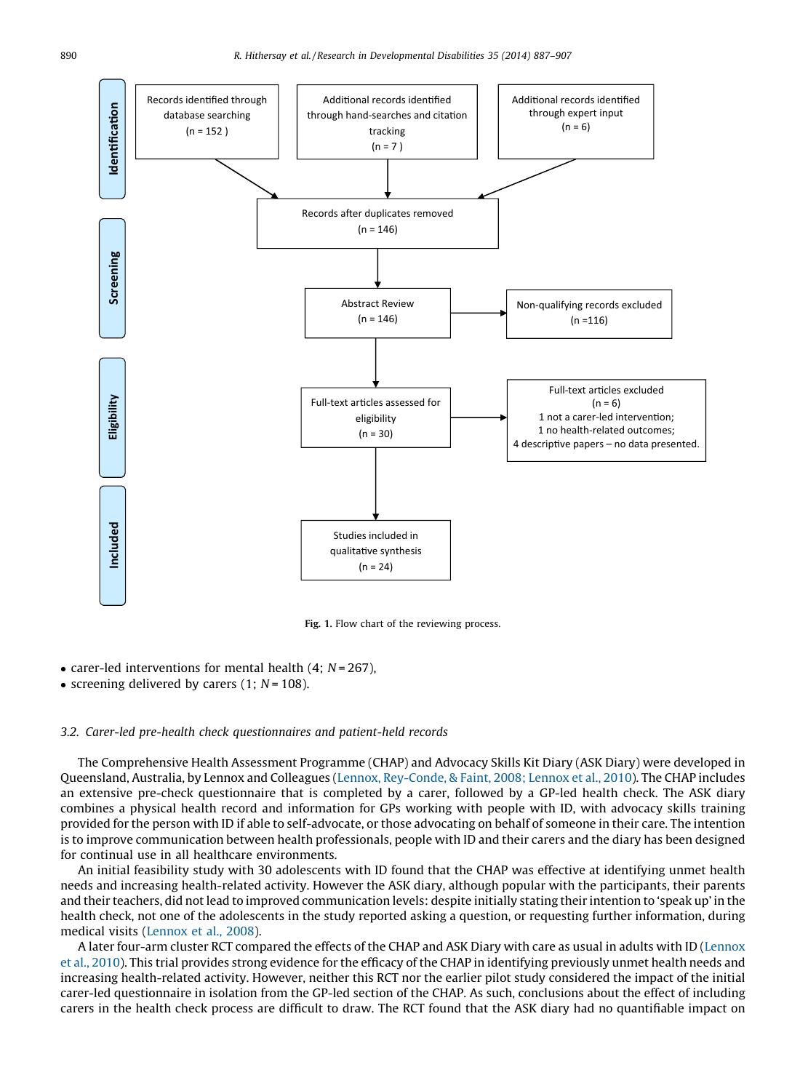<span id="page-3-0"></span>

Fig. 1. Flow chart of the reviewing process.

- carer-led interventions for mental health  $(4; N=267)$ ,
- screening delivered by carers  $(1; N = 108)$ .

# 3.2. Carer-led pre-health check questionnaires and patient-held records

The Comprehensive Health Assessment Programme (CHAP) and Advocacy Skills Kit Diary (ASK Diary) were developed in Queensland, Australia, by Lennox and Colleagues (Lennox, [Rey-Conde,](#page-19-0) & Faint, 2008; Lennox et al., 2010). The CHAP includes an extensive pre-check questionnaire that is completed by a carer, followed by a GP-led health check. The ASK diary combines a physical health record and information for GPs working with people with ID, with advocacy skills training provided for the person with ID if able to self-advocate, or those advocating on behalf of someone in their care. The intention is to improve communication between health professionals, people with ID and their carers and the diary has been designed for continual use in all healthcare environments.

An initial feasibility study with 30 adolescents with ID found that the CHAP was effective at identifying unmet health needs and increasing health-related activity. However the ASK diary, although popular with the participants, their parents and their teachers, did not lead to improved communication levels: despite initially stating their intention to 'speak up' in the health check, not one of the adolescents in the study reported asking a question, or requesting further information, during medical visits ([Lennox](#page-19-0) et al., 2008).

A later four-arm cluster RCT compared the effects of the CHAP and ASK Diary with care as usual in adults with ID ([Lennox](#page-19-0) et al., [2010\)](#page-19-0). This trial provides strong evidence for the efficacy of the CHAP in identifying previously unmet health needs and increasing health-related activity. However, neither this RCT nor the earlier pilot study considered the impact of the initial carer-led questionnaire in isolation from the GP-led section of the CHAP. As such, conclusions about the effect of including carers in the health check process are difficult to draw. The RCT found that the ASK diary had no quantifiable impact on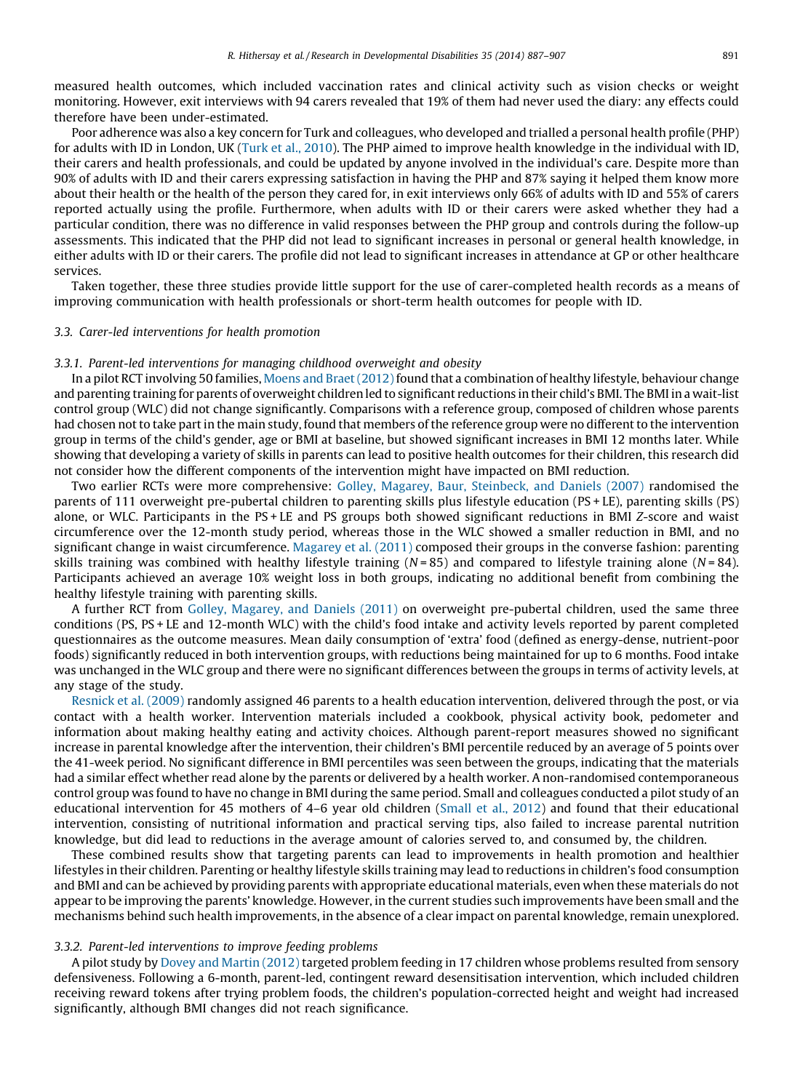measured health outcomes, which included vaccination rates and clinical activity such as vision checks or weight monitoring. However, exit interviews with 94 carers revealed that 19% of them had never used the diary: any effects could therefore have been under-estimated.

Poor adherence was also a key concern for Turk and colleagues, who developed and trialled a personal health profile (PHP) for adults with ID in London, UK (Turk et al., [2010](#page-20-0)). The PHP aimed to improve health knowledge in the individual with ID, their carers and health professionals, and could be updated by anyone involved in the individual's care. Despite more than 90% of adults with ID and their carers expressing satisfaction in having the PHP and 87% saying it helped them know more about their health or the health of the person they cared for, in exit interviews only 66% of adults with ID and 55% of carers reported actually using the profile. Furthermore, when adults with ID or their carers were asked whether they had a particular condition, there was no difference in valid responses between the PHP group and controls during the follow-up assessments. This indicated that the PHP did not lead to significant increases in personal or general health knowledge, in either adults with ID or their carers. The profile did not lead to significant increases in attendance at GP or other healthcare services.

Taken together, these three studies provide little support for the use of carer-completed health records as a means of improving communication with health professionals or short-term health outcomes for people with ID.

#### 3.3. Carer-led interventions for health promotion

#### 3.3.1. Parent-led interventions for managing childhood overweight and obesity

In a pilot RCT involving 50 families, Moens and Braet (2012) found that a combination of healthy lifestyle, behaviour change and parenting training for parents of overweight children led to significant reductions in their child's BMI. The BMI in a wait-list control group (WLC) did not change significantly. Comparisons with a reference group, composed of children whose parents had chosen not to take part in the main study, found that members of the reference group were no different to the intervention group in terms of the child's gender, age or BMI at baseline, but showed significant increases in BMI 12 months later. While showing that developing a variety of skills in parents can lead to positive health outcomes for their children, this research did not consider how the different components of the intervention might have impacted on BMI reduction.

Two earlier RCTs were more comprehensive: Golley, Magarey, Baur, [Steinbeck,](#page-19-0) and Daniels (2007) randomised the parents of 111 overweight pre-pubertal children to parenting skills plus lifestyle education (PS + LE), parenting skills (PS) alone, or WLC. Participants in the PS + LE and PS groups both showed significant reductions in BMI Z-score and waist circumference over the 12-month study period, whereas those in the WLC showed a smaller reduction in BMI, and no significant change in waist circumference. [Magarey](#page-19-0) et al. (2011) composed their groups in the converse fashion: parenting skills training was combined with healthy lifestyle training ( $N = 85$ ) and compared to lifestyle training alone ( $N = 84$ ). Participants achieved an average 10% weight loss in both groups, indicating no additional benefit from combining the healthy lifestyle training with parenting skills.

A further RCT from Golley, [Magarey,](#page-19-0) and Daniels (2011) on overweight pre-pubertal children, used the same three conditions (PS, PS + LE and 12-month WLC) with the child's food intake and activity levels reported by parent completed questionnaires as the outcome measures. Mean daily consumption of 'extra' food (defined as energy-dense, nutrient-poor foods) significantly reduced in both intervention groups, with reductions being maintained for up to 6 months. Food intake was unchanged in the WLC group and there were no significant differences between the groups in terms of activity levels, at any stage of the study.

[Resnick](#page-20-0) et al. (2009) randomly assigned 46 parents to a health education intervention, delivered through the post, or via contact with a health worker. Intervention materials included a cookbook, physical activity book, pedometer and information about making healthy eating and activity choices. Although parent-report measures showed no significant increase in parental knowledge after the intervention, their children's BMI percentile reduced by an average of 5 points over the 41-week period. No significant difference in BMI percentiles was seen between the groups, indicating that the materials had a similar effect whether read alone by the parents or delivered by a health worker. A non-randomised contemporaneous control group was found to have no change in BMI during the same period. Small and colleagues conducted a pilot study of an educational intervention for 45 mothers of 4–6 year old children ([Small](#page-20-0) et al., 2012) and found that their educational intervention, consisting of nutritional information and practical serving tips, also failed to increase parental nutrition knowledge, but did lead to reductions in the average amount of calories served to, and consumed by, the children.

These combined results show that targeting parents can lead to improvements in health promotion and healthier lifestyles in their children. Parenting or healthy lifestyle skills training may lead to reductions in children's food consumption and BMI and can be achieved by providing parents with appropriate educational materials, even when these materials do not appear to be improving the parents' knowledge. However, in the current studies such improvements have been small and the mechanisms behind such health improvements, in the absence of a clear impact on parental knowledge, remain unexplored.

## 3.3.2. Parent-led interventions to improve feeding problems

A pilot study by Dovey and [Martin](#page-19-0) (2012) targeted problem feeding in 17 children whose problems resulted from sensory defensiveness. Following a 6-month, parent-led, contingent reward desensitisation intervention, which included children receiving reward tokens after trying problem foods, the children's population-corrected height and weight had increased significantly, although BMI changes did not reach significance.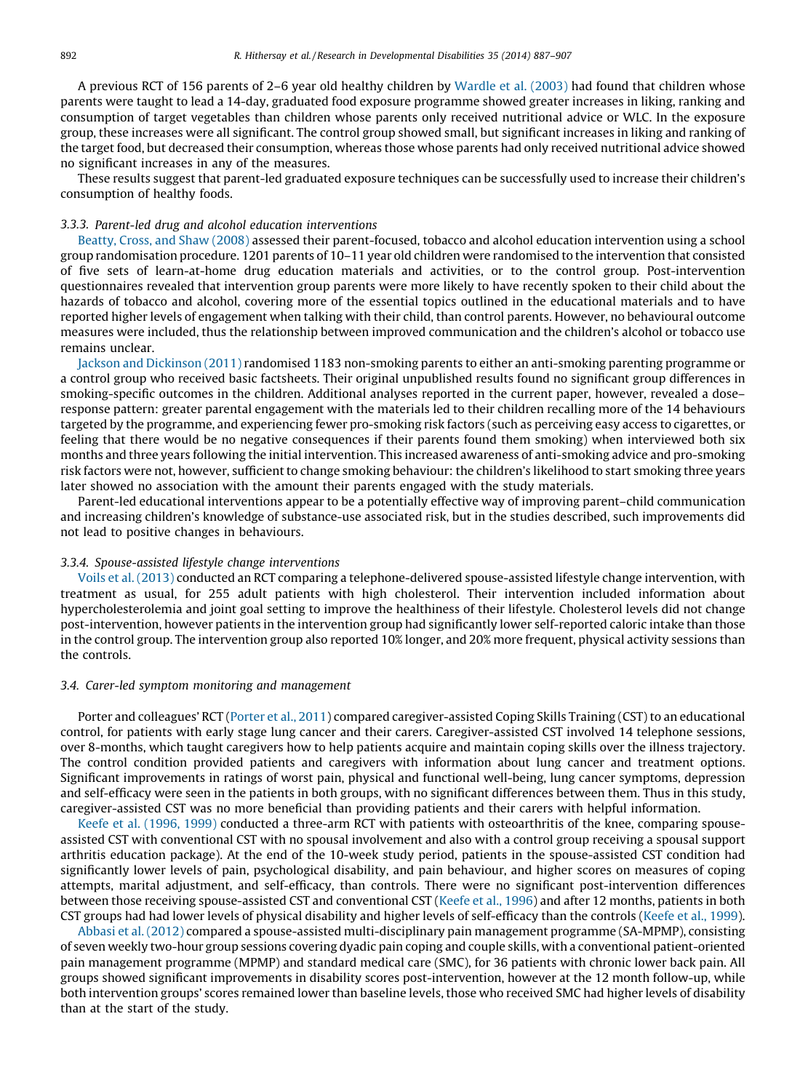A previous RCT of 156 parents of 2–6 year old healthy children by [Wardle](#page-20-0) et al. (2003) had found that children whose parents were taught to lead a 14-day, graduated food exposure programme showed greater increases in liking, ranking and consumption of target vegetables than children whose parents only received nutritional advice or WLC. In the exposure group, these increases were all significant. The control group showed small, but significant increases in liking and ranking of the target food, but decreased their consumption, whereas those whose parents had only received nutritional advice showed no significant increases in any of the measures.

These results suggest that parent-led graduated exposure techniques can be successfully used to increase their children's consumption of healthy foods.

## 3.3.3. Parent-led drug and alcohol education interventions

[Beatty,](#page-19-0) Cross, and Shaw (2008) assessed their parent-focused, tobacco and alcohol education intervention using a school group randomisation procedure. 1201 parents of 10–11 year old children were randomised to the intervention that consisted of five sets of learn-at-home drug education materials and activities, or to the control group. Post-intervention questionnaires revealed that intervention group parents were more likely to have recently spoken to their child about the hazards of tobacco and alcohol, covering more of the essential topics outlined in the educational materials and to have reported higher levels of engagement when talking with their child, than control parents. However, no behavioural outcome measures were included, thus the relationship between improved communication and the children's alcohol or tobacco use remains unclear.

Jackson and [Dickinson](#page-19-0) (2011) randomised 1183 non-smoking parents to either an anti-smoking parenting programme or a control group who received basic factsheets. Their original unpublished results found no significant group differences in smoking-specific outcomes in the children. Additional analyses reported in the current paper, however, revealed a dose– response pattern: greater parental engagement with the materials led to their children recalling more of the 14 behaviours targeted by the programme, and experiencing fewer pro-smoking risk factors (such as perceiving easy access to cigarettes, or feeling that there would be no negative consequences if their parents found them smoking) when interviewed both six months and three years following the initial intervention. This increased awareness of anti-smoking advice and pro-smoking risk factors were not, however, sufficientto change smoking behaviour: the children's likelihood to start smoking three years later showed no association with the amount their parents engaged with the study materials.

Parent-led educational interventions appear to be a potentially effective way of improving parent–child communication and increasing children's knowledge of substance-use associated risk, but in the studies described, such improvements did not lead to positive changes in behaviours.

#### 3.3.4. Spouse-assisted lifestyle change interventions

Voils et al. [\(2013\)](#page-20-0) conducted an RCT comparing a telephone-delivered spouse-assisted lifestyle change intervention, with treatment as usual, for 255 adult patients with high cholesterol. Their intervention included information about hypercholesterolemia and joint goal setting to improve the healthiness of their lifestyle. Cholesterol levels did not change post-intervention, however patients in the intervention group had significantly lower self-reported caloric intake than those in the control group. The intervention group also reported 10% longer, and 20% more frequent, physical activity sessions than the controls.

## 3.4. Carer-led symptom monitoring and management

Porter and colleagues' RCT ([Porter](#page-19-0) et al., 2011) compared caregiver-assisted Coping Skills Training (CST) to an educational control, for patients with early stage lung cancer and their carers. Caregiver-assisted CST involved 14 telephone sessions, over 8-months, which taught caregivers how to help patients acquire and maintain coping skills over the illness trajectory. The control condition provided patients and caregivers with information about lung cancer and treatment options. Significant improvements in ratings of worst pain, physical and functional well-being, lung cancer symptoms, depression and self-efficacy were seen in the patients in both groups, with no significant differences between them. Thus in this study, caregiver-assisted CST was no more beneficial than providing patients and their carers with helpful information.

Keefe et al. [\(1996,](#page-19-0) 1999) conducted a three-arm RCT with patients with osteoarthritis of the knee, comparing spouseassisted CST with conventional CST with no spousal involvement and also with a control group receiving a spousal support arthritis education package). At the end of the 10-week study period, patients in the spouse-assisted CST condition had significantly lower levels of pain, psychological disability, and pain behaviour, and higher scores on measures of coping attempts, marital adjustment, and self-efficacy, than controls. There were no significant post-intervention differences between those receiving spouse-assisted CST and conventional CST ([Keefe](#page-19-0) et al., 1996) and after 12 months, patients in both CST groups had had lower levels of physical disability and higher levels of self-efficacy than the controls [\(Keefe](#page-19-0) et al., 1999).

[Abbasi](#page-19-0) et al. (2012) compared a spouse-assisted multi-disciplinary pain management programme (SA-MPMP), consisting of seven weekly two-hour group sessions covering dyadic pain coping and couple skills, with a conventional patient-oriented pain management programme (MPMP) and standard medical care (SMC), for 36 patients with chronic lower back pain. All groups showed significant improvements in disability scores post-intervention, however at the 12 month follow-up, while both intervention groups' scores remained lower than baseline levels, those who received SMC had higher levels of disability than at the start of the study.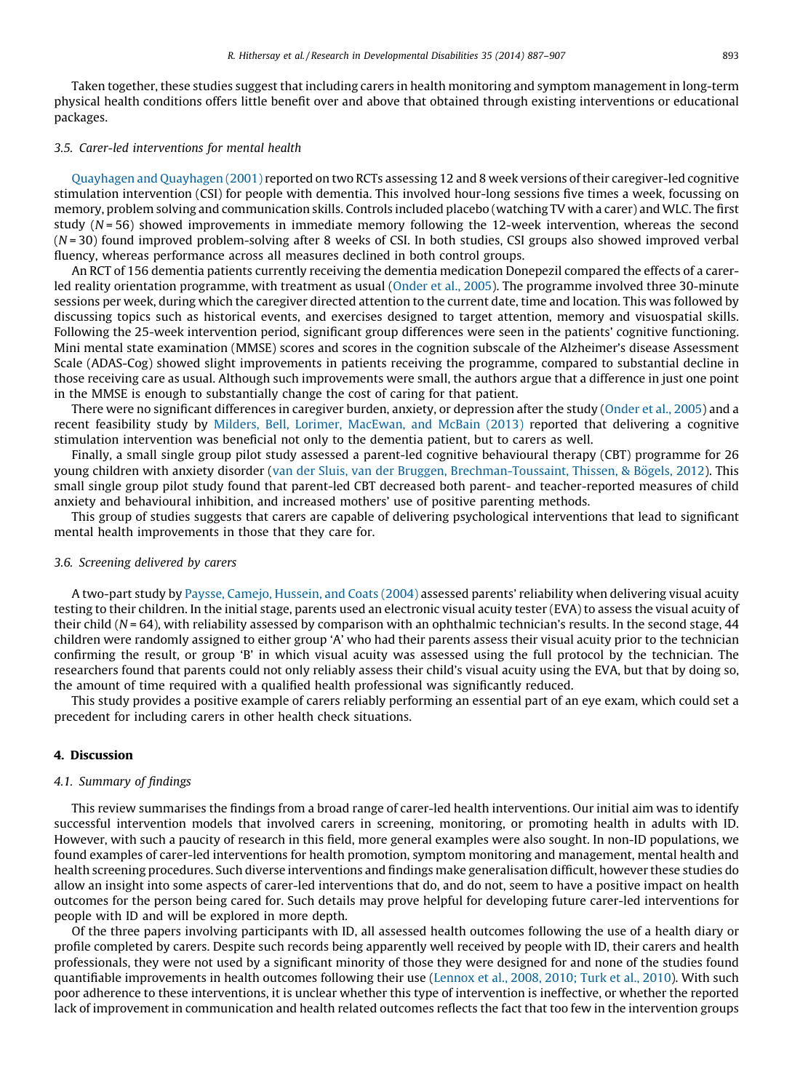Taken together, these studies suggest that including carers in health monitoring and symptom management in long-term physical health conditions offers little benefit over and above that obtained through existing interventions or educational packages.

## 3.5. Carer-led interventions for mental health

Quayhagen and [Quayhagen](#page-19-0) (2001) reported on two RCTs assessing 12 and 8 week versions oftheir caregiver-led cognitive stimulation intervention (CSI) for people with dementia. This involved hour-long sessions five times a week, focussing on memory, problem solving and communication skills. Controls included placebo (watching TV with a carer) and WLC. The first study  $(N = 56)$  showed improvements in immediate memory following the 12-week intervention, whereas the second  $(N=30)$  found improved problem-solving after 8 weeks of CSI. In both studies, CSI groups also showed improved verbal fluency, whereas performance across all measures declined in both control groups.

An RCT of 156 dementia patients currently receiving the dementia medication Donepezil compared the effects of a carerled reality orientation programme, with treatment as usual ([Onder](#page-19-0) et al., 2005). The programme involved three 30-minute sessions per week, during which the caregiver directed attention to the current date, time and location. This was followed by discussing topics such as historical events, and exercises designed to target attention, memory and visuospatial skills. Following the 25-week intervention period, significant group differences were seen in the patients' cognitive functioning. Mini mental state examination (MMSE) scores and scores in the cognition subscale of the Alzheimer's disease Assessment Scale (ADAS-Cog) showed slight improvements in patients receiving the programme, compared to substantial decline in those receiving care as usual. Although such improvements were small, the authors argue that a difference in just one point in the MMSE is enough to substantially change the cost of caring for that patient.

There were no significant differences in caregiver burden, anxiety, or depression after the study ([Onder](#page-19-0) et al., 2005) and a recent feasibility study by Milders, Bell, Lorimer, [MacEwan,](#page-19-0) and McBain (2013) reported that delivering a cognitive stimulation intervention was beneficial not only to the dementia patient, but to carers as well.

Finally, a small single group pilot study assessed a parent-led cognitive behavioural therapy (CBT) programme for 26 young children with anxiety disorder (van der Sluis, van der Bruggen, [Brechman-Toussaint,](#page-20-0) Thissen, & Bögels, 2012). This small single group pilot study found that parent-led CBT decreased both parent- and teacher-reported measures of child anxiety and behavioural inhibition, and increased mothers' use of positive parenting methods.

This group of studies suggests that carers are capable of delivering psychological interventions that lead to significant mental health improvements in those that they care for.

#### 3.6. Screening delivered by carers

A two-part study by Paysse, Camejo, [Hussein,](#page-19-0) and Coats (2004) assessed parents' reliability when delivering visual acuity testing to their children. In the initial stage, parents used an electronic visual acuity tester (EVA) to assess the visual acuity of their child ( $N = 64$ ), with reliability assessed by comparison with an ophthalmic technician's results. In the second stage, 44 children were randomly assigned to either group 'A' who had their parents assess their visual acuity prior to the technician confirming the result, or group 'B' in which visual acuity was assessed using the full protocol by the technician. The researchers found that parents could not only reliably assess their child's visual acuity using the EVA, but that by doing so, the amount of time required with a qualified health professional was significantly reduced.

This study provides a positive example of carers reliably performing an essential part of an eye exam, which could set a precedent for including carers in other health check situations.

#### 4. Discussion

## 4.1. Summary of findings

This review summarises the findings from a broad range of carer-led health interventions. Our initial aim was to identify successful intervention models that involved carers in screening, monitoring, or promoting health in adults with ID. However, with such a paucity of research in this field, more general examples were also sought. In non-ID populations, we found examples of carer-led interventions for health promotion, symptom monitoring and management, mental health and health screening procedures. Such diverse interventions and findings make generalisation difficult, however these studies do allow an insight into some aspects of carer-led interventions that do, and do not, seem to have a positive impact on health outcomes for the person being cared for. Such details may prove helpful for developing future carer-led interventions for people with ID and will be explored in more depth.

Of the three papers involving participants with ID, all assessed health outcomes following the use of a health diary or profile completed by carers. Despite such records being apparently well received by people with ID, their carers and health professionals, they were not used by a significant minority of those they were designed for and none of the studies found quantifiable improvements in health outcomes following their use [\(Lennox](#page-19-0) et al., 2008, 2010; Turk et al., 2010). With such poor adherence to these interventions, it is unclear whether this type of intervention is ineffective, or whether the reported lack of improvement in communication and health related outcomes reflects the fact that too few in the intervention groups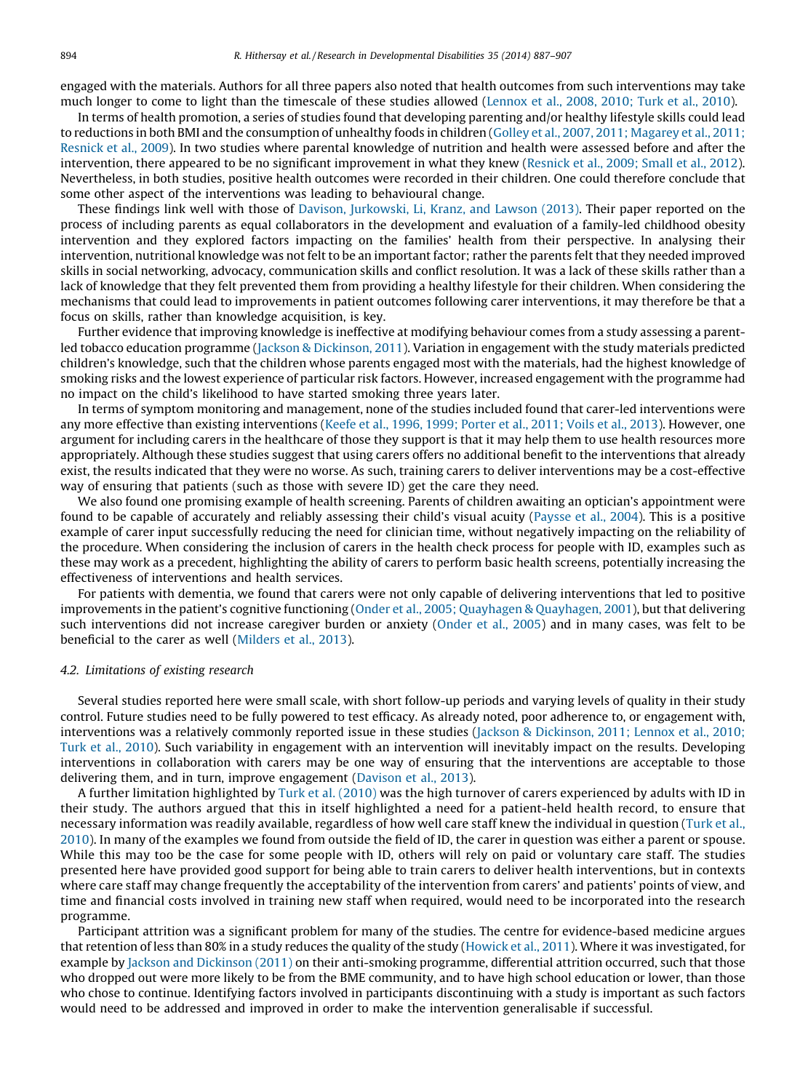engaged with the materials. Authors for all three papers also noted that health outcomes from such interventions may take much longer to come to light than the timescale of these studies allowed [\(Lennox](#page-19-0) et al., 2008, 2010; Turk et al., 2010).

In terms of health promotion, a series of studies found that developing parenting and/or healthy lifestyle skills could lead to reductions in both BMI and the consumption of unhealthy foods in children (Golley et al., 2007, 2011; [Magarey](#page-19-0) et al., 2011; [Resnick](#page-19-0) et al., 2009). In two studies where parental knowledge of nutrition and health were assessed before and after the intervention, there appeared to be no significant improvement in what they knew ([Resnick](#page-20-0) et al., 2009; Small et al., 2012). Nevertheless, in both studies, positive health outcomes were recorded in their children. One could therefore conclude that some other aspect of the interventions was leading to behavioural change.

These findings link well with those of Davison, [Jurkowski,](#page-19-0) Li, Kranz, and Lawson (2013). Their paper reported on the process of including parents as equal collaborators in the development and evaluation of a family-led childhood obesity intervention and they explored factors impacting on the families' health from their perspective. In analysing their intervention, nutritional knowledge was not felt to be an important factor; rather the parents felt that they needed improved skills in social networking, advocacy, communication skills and conflict resolution. It was a lack of these skills rather than a lack of knowledge that they felt prevented them from providing a healthy lifestyle for their children. When considering the mechanisms that could lead to improvements in patient outcomes following carer interventions, it may therefore be that a focus on skills, rather than knowledge acquisition, is key.

Further evidence that improving knowledge is ineffective at modifying behaviour comes from a study assessing a parentled tobacco education programme (Jackson & [Dickinson,](#page-19-0) 2011). Variation in engagement with the study materials predicted children's knowledge, such that the children whose parents engaged most with the materials, had the highest knowledge of smoking risks and the lowest experience of particular risk factors. However, increased engagement with the programme had no impact on the child's likelihood to have started smoking three years later.

In terms of symptom monitoring and management, none of the studies included found that carer-led interventions were any more effective than existing interventions (Keefe et al., 1996, 1999; [Porter](#page-19-0) et al., 2011; Voils et al., 2013). However, one argument for including carers in the healthcare of those they support is that it may help them to use health resources more appropriately. Although these studies suggest that using carers offers no additional benefit to the interventions that already exist, the results indicated that they were no worse. As such, training carers to deliver interventions may be a cost-effective way of ensuring that patients (such as those with severe ID) get the care they need.

We also found one promising example of health screening. Parents of children awaiting an optician's appointment were found to be capable of accurately and reliably assessing their child's visual acuity ([Paysse](#page-19-0) et al., 2004). This is a positive example of carer input successfully reducing the need for clinician time, without negatively impacting on the reliability of the procedure. When considering the inclusion of carers in the health check process for people with ID, examples such as these may work as a precedent, highlighting the ability of carers to perform basic health screens, potentially increasing the effectiveness of interventions and health services.

For patients with dementia, we found that carers were not only capable of delivering interventions that led to positive improvements in the patient's cognitive functioning (Onder et al., 2005; Quayhagen & [Quayhagen,](#page-19-0) 2001), but that delivering such interventions did not increase caregiver burden or anxiety ([Onder](#page-19-0) et al., 2005) and in many cases, was felt to be beneficial to the carer as well ([Milders](#page-19-0) et al., 2013).

#### 4.2. Limitations of existing research

Several studies reported here were small scale, with short follow-up periods and varying levels of quality in their study control. Future studies need to be fully powered to test efficacy. As already noted, poor adherence to, or engagement with, interventions was a relatively commonly reported issue in these studies (Jackson & [Dickinson,](#page-19-0) 2011; Lennox et al., 2010; Turk et al., [2010](#page-19-0)). Such variability in engagement with an intervention will inevitably impact on the results. Developing interventions in collaboration with carers may be one way of ensuring that the interventions are acceptable to those delivering them, and in turn, improve engagement ([Davison](#page-19-0) et al., 2013).

A further limitation highlighted by Turk et al. [\(2010\)](#page-20-0) was the high turnover of carers experienced by adults with ID in their study. The authors argued that this in itself highlighted a need for a patient-held health record, to ensure that necessary information was readily available, regardless of how well care staff knew the individual in question [\(Turk](#page-20-0) et al., [2010\)](#page-20-0). In many of the examples we found from outside the field of ID, the carer in question was either a parent or spouse. While this may too be the case for some people with ID, others will rely on paid or voluntary care staff. The studies presented here have provided good support for being able to train carers to deliver health interventions, but in contexts where care staff may change frequently the acceptability of the intervention from carers' and patients' points of view, and time and financial costs involved in training new staff when required, would need to be incorporated into the research programme.

Participant attrition was a significant problem for many of the studies. The centre for evidence-based medicine argues that retention of less than 80% in a study reduces the quality of the study [\(Howick](#page-19-0) et al., 2011). Where it was investigated, for example by Jackson and [Dickinson](#page-19-0) (2011) on their anti-smoking programme, differential attrition occurred, such that those who dropped out were more likely to be from the BME community, and to have high school education or lower, than those who chose to continue. Identifying factors involved in participants discontinuing with a study is important as such factors would need to be addressed and improved in order to make the intervention generalisable if successful.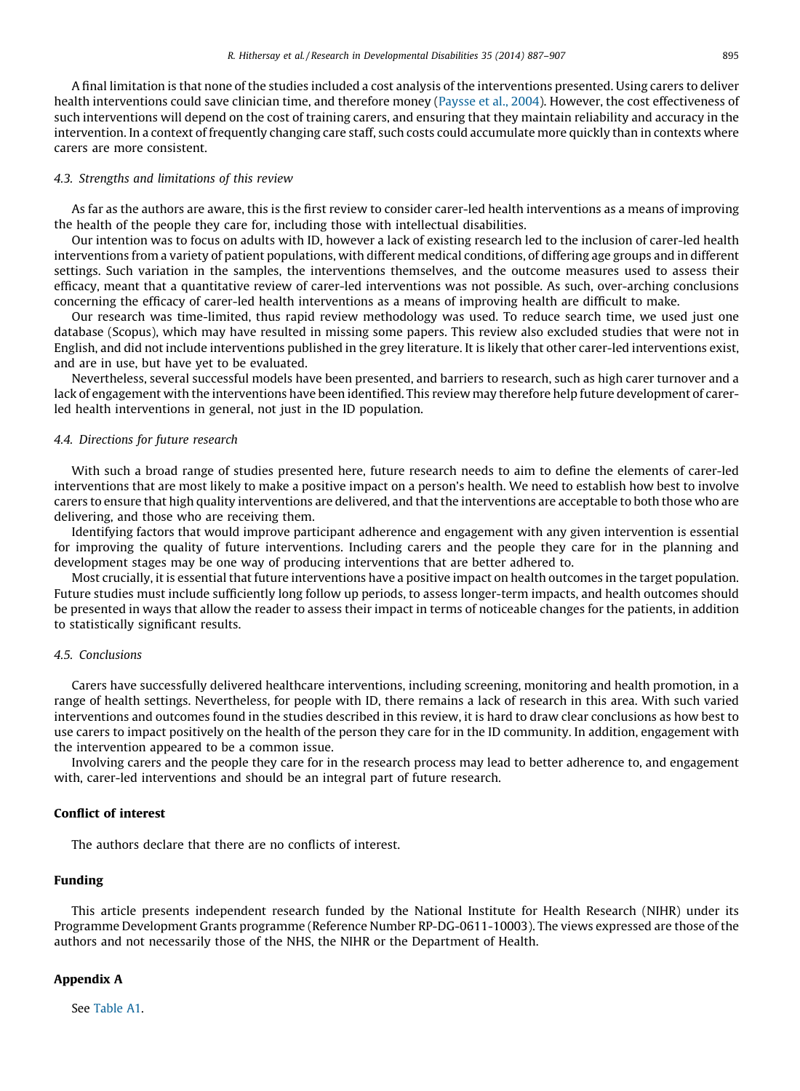A final limitation is that none of the studies included a cost analysis of the interventions presented. Using carers to deliver health interventions could save clinician time, and therefore money ([Paysse](#page-19-0) et al., 2004). However, the cost effectiveness of such interventions will depend on the cost of training carers, and ensuring that they maintain reliability and accuracy in the intervention. In a context of frequently changing care staff, such costs could accumulate more quickly than in contexts where carers are more consistent.

## 4.3. Strengths and limitations of this review

As far as the authors are aware, this is the first review to consider carer-led health interventions as a means of improving the health of the people they care for, including those with intellectual disabilities.

Our intention was to focus on adults with ID, however a lack of existing research led to the inclusion of carer-led health interventions from a variety of patient populations, with different medical conditions, of differing age groups and in different settings. Such variation in the samples, the interventions themselves, and the outcome measures used to assess their efficacy, meant that a quantitative review of carer-led interventions was not possible. As such, over-arching conclusions concerning the efficacy of carer-led health interventions as a means of improving health are difficult to make.

Our research was time-limited, thus rapid review methodology was used. To reduce search time, we used just one database (Scopus), which may have resulted in missing some papers. This review also excluded studies that were not in English, and did not include interventions published in the grey literature. It is likely that other carer-led interventions exist, and are in use, but have yet to be evaluated.

Nevertheless, several successful models have been presented, and barriers to research, such as high carer turnover and a lack of engagement with the interventions have been identified. This review may therefore help future development of carerled health interventions in general, not just in the ID population.

## 4.4. Directions for future research

With such a broad range of studies presented here, future research needs to aim to define the elements of carer-led interventions that are most likely to make a positive impact on a person's health. We need to establish how best to involve carers to ensure that high quality interventions are delivered, and that the interventions are acceptable to both those who are delivering, and those who are receiving them.

Identifying factors that would improve participant adherence and engagement with any given intervention is essential for improving the quality of future interventions. Including carers and the people they care for in the planning and development stages may be one way of producing interventions that are better adhered to.

Most crucially, it is essential that future interventions have a positive impact on health outcomes in the target population. Future studies must include sufficiently long follow up periods, to assess longer-term impacts, and health outcomes should be presented in ways that allow the reader to assess their impact in terms of noticeable changes for the patients, in addition to statistically significant results.

## 4.5. Conclusions

Carers have successfully delivered healthcare interventions, including screening, monitoring and health promotion, in a range of health settings. Nevertheless, for people with ID, there remains a lack of research in this area. With such varied interventions and outcomes found in the studies described in this review, it is hard to draw clear conclusions as how best to use carers to impact positively on the health of the person they care for in the ID community. In addition, engagement with the intervention appeared to be a common issue.

Involving carers and the people they care for in the research process may lead to better adherence to, and engagement with, carer-led interventions and should be an integral part of future research.

## Conflict of interest

The authors declare that there are no conflicts of interest.

## Funding

This article presents independent research funded by the National Institute for Health Research (NIHR) under its Programme Development Grants programme (Reference Number RP-DG-0611-10003). The views expressed are those of the authors and not necessarily those of the NHS, the NIHR or the Department of Health.

## Appendix A

See [Table](#page-9-0) A1.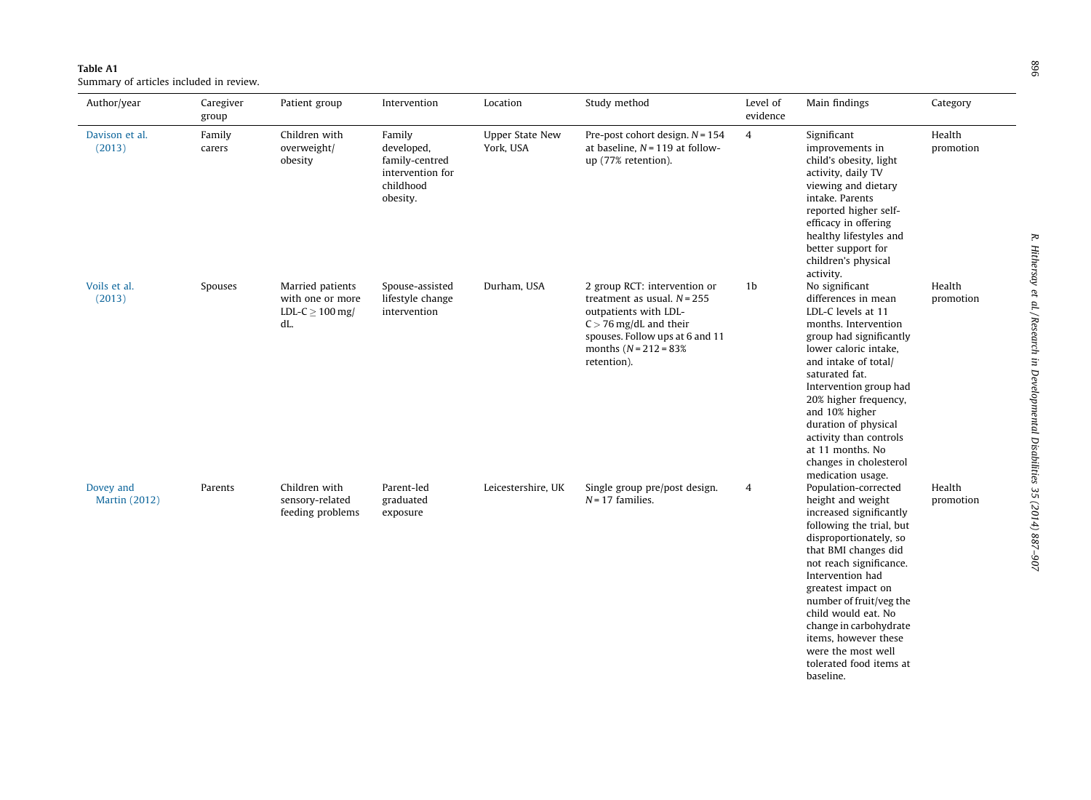<span id="page-9-0"></span>Table A1Summary of articles included in review.

| Author/year                       | Caregiver<br>group | Patient group                                                       | Intervention                                                                        | Location                            | Study method                                                                                                                                                                                      | Level of<br>evidence | Main findings                                                                                                                                                                                                                                                                                                                                                                | Category            |
|-----------------------------------|--------------------|---------------------------------------------------------------------|-------------------------------------------------------------------------------------|-------------------------------------|---------------------------------------------------------------------------------------------------------------------------------------------------------------------------------------------------|----------------------|------------------------------------------------------------------------------------------------------------------------------------------------------------------------------------------------------------------------------------------------------------------------------------------------------------------------------------------------------------------------------|---------------------|
| Davison et al.<br>(2013)          | Family<br>carers   | Children with<br>overweight/<br>obesity                             | Family<br>developed,<br>family-centred<br>intervention for<br>childhood<br>obesity. | <b>Upper State New</b><br>York, USA | Pre-post cohort design. $N = 154$<br>at baseline, $N = 119$ at follow-<br>up (77% retention).                                                                                                     | $\overline{4}$       | Significant<br>improvements in<br>child's obesity, light<br>activity, daily TV<br>viewing and dietary<br>intake. Parents<br>reported higher self-<br>efficacy in offering<br>healthy lifestyles and<br>better support for<br>children's physical<br>activity.                                                                                                                | Health<br>promotion |
| Voils et al.<br>(2013)            | Spouses            | Married patients<br>with one or more<br>LDL-C $\geq$ 100 mg/<br>dL. | Spouse-assisted<br>lifestyle change<br>intervention                                 | Durham, USA                         | 2 group RCT: intervention or<br>treatment as usual, $N = 255$<br>outpatients with LDL-<br>$C > 76$ mg/dL and their<br>spouses. Follow ups at 6 and 11<br>months $(N = 212 = 83\%)$<br>retention). | 1 <sub>b</sub>       | No significant<br>differences in mean<br>LDL-C levels at 11<br>months. Intervention<br>group had significantly<br>lower caloric intake,<br>and intake of total/<br>saturated fat.<br>Intervention group had<br>20% higher frequency,<br>and 10% higher<br>duration of physical<br>activity than controls<br>at 11 months. No<br>changes in cholesterol<br>medication usage.  | Health<br>promotion |
| Dovey and<br><b>Martin (2012)</b> | Parents            | Children with<br>sensory-related<br>feeding problems                | Parent-led<br>graduated<br>exposure                                                 | Leicestershire, UK                  | Single group pre/post design.<br>$N = 17$ families.                                                                                                                                               | 4                    | Population-corrected<br>height and weight<br>increased significantly<br>following the trial, but<br>disproportionately, so<br>that BMI changes did<br>not reach significance.<br>Intervention had<br>greatest impact on<br>number of fruit/veg the<br>child would eat. No<br>change in carbohydrate<br>items, however these<br>were the most well<br>tolerated food items at | Health<br>promotion |

baseline.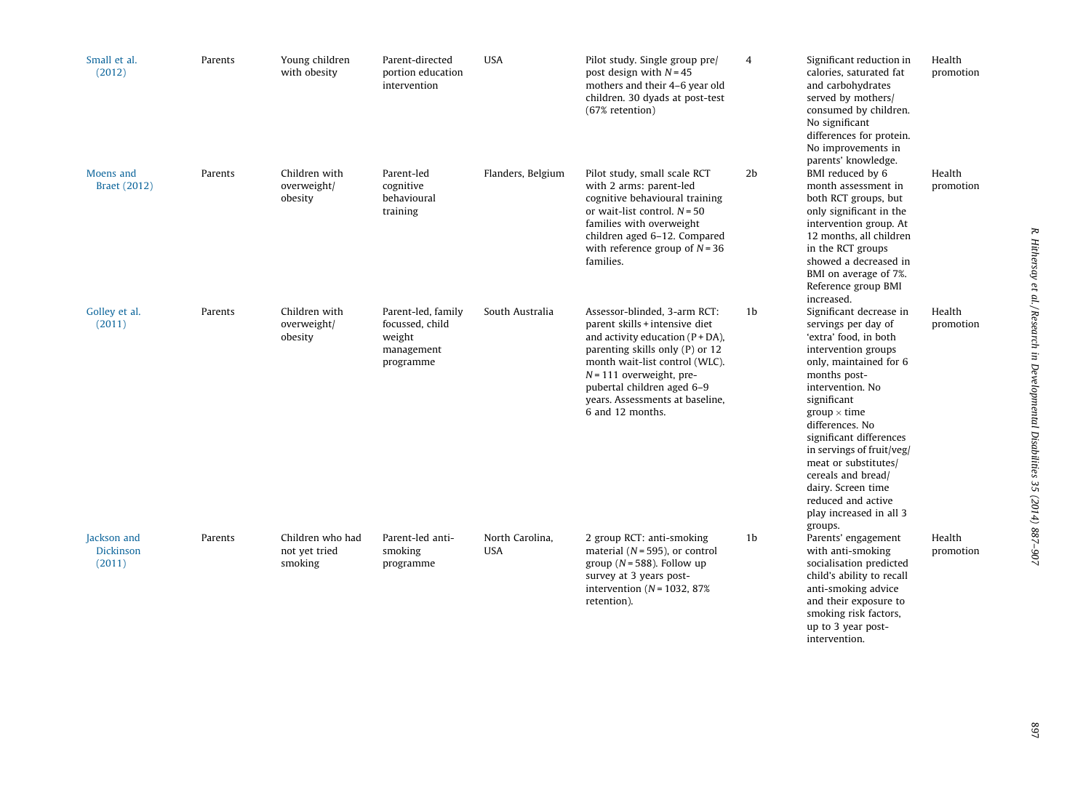| Small et al.<br>(2012)                    | Parents | Young children<br>with obesity               | Parent-directed<br>portion education<br>intervention                       | <b>USA</b>                    | Pilot study. Single group pre/<br>post design with $N = 45$<br>mothers and their 4-6 year old<br>children. 30 dyads at post-test<br>(67% retention)                                                                                                                                           | 4              | Significant reduction in<br>calories, saturated fat<br>and carbohydrates<br>served by mothers/<br>consumed by children.<br>No significant<br>differences for protein.<br>No improvements in<br>parents' knowledge.                                                                                                                                                                                            | Health<br>promotion |
|-------------------------------------------|---------|----------------------------------------------|----------------------------------------------------------------------------|-------------------------------|-----------------------------------------------------------------------------------------------------------------------------------------------------------------------------------------------------------------------------------------------------------------------------------------------|----------------|---------------------------------------------------------------------------------------------------------------------------------------------------------------------------------------------------------------------------------------------------------------------------------------------------------------------------------------------------------------------------------------------------------------|---------------------|
| Moens and<br><b>Braet</b> (2012)          | Parents | Children with<br>overweight/<br>obesity      | Parent-led<br>cognitive<br>behavioural<br>training                         | Flanders, Belgium             | Pilot study, small scale RCT<br>with 2 arms: parent-led<br>cognitive behavioural training<br>or wait-list control. $N = 50$<br>families with overweight<br>children aged 6-12. Compared<br>with reference group of $N = 36$<br>families.                                                      | 2 <sub>b</sub> | BMI reduced by 6<br>month assessment in<br>both RCT groups, but<br>only significant in the<br>intervention group. At<br>12 months, all children<br>in the RCT groups<br>showed a decreased in<br>BMI on average of 7%.<br>Reference group BMI<br>increased.                                                                                                                                                   | Health<br>promotion |
| Golley et al.<br>(2011)                   | Parents | Children with<br>overweight/<br>obesity      | Parent-led, family<br>focussed, child<br>weight<br>management<br>programme | South Australia               | Assessor-blinded. 3-arm RCT:<br>parent skills + intensive diet<br>and activity education $(P + DA)$ ,<br>parenting skills only (P) or 12<br>month wait-list control (WLC).<br>$N = 111$ overweight, pre-<br>pubertal children aged 6-9<br>years. Assessments at baseline,<br>6 and 12 months. | 1b             | Significant decrease in<br>servings per day of<br>'extra' food, in both<br>intervention groups<br>only, maintained for 6<br>months post-<br>intervention. No<br>significant<br>$group \times time$<br>differences. No<br>significant differences<br>in servings of fruit/veg/<br>meat or substitutes/<br>cereals and bread/<br>dairy. Screen time<br>reduced and active<br>play increased in all 3<br>groups. | Health<br>promotion |
| Jackson and<br><b>Dickinson</b><br>(2011) | Parents | Children who had<br>not yet tried<br>smoking | Parent-led anti-<br>smoking<br>programme                                   | North Carolina,<br><b>USA</b> | 2 group RCT: anti-smoking<br>material ( $N = 595$ ), or control<br>group ( $N = 588$ ). Follow up<br>survey at 3 years post-<br>intervention ( $N = 1032$ , 87%<br>retention).                                                                                                                | 1 <sub>b</sub> | Parents' engagement<br>with anti-smoking<br>socialisation predicted<br>child's ability to recall<br>anti-smoking advice<br>and their exposure to<br>smoking risk factors,<br>up to 3 year post-<br>intervention.                                                                                                                                                                                              | Health<br>promotion |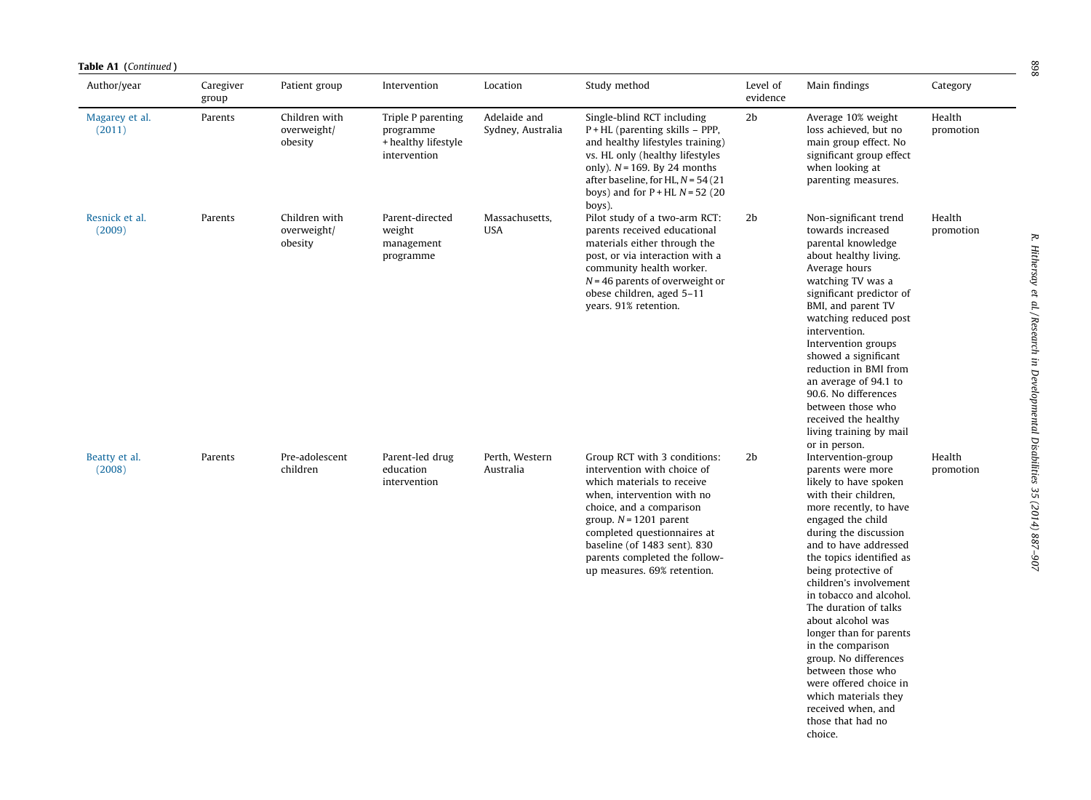| <b>Table A1</b> (Continued) |  |
|-----------------------------|--|
|-----------------------------|--|

| Author/year              | Caregiver<br>group | Patient group                           | Intervention                                                           | Location                          | Study method                                                                                                                                                                                                                                                                                                   | Level of<br>evidence | Main findings                                                                                                                                                                                                                                                                                                                                                                                                                                                                                                                              | Category            |
|--------------------------|--------------------|-----------------------------------------|------------------------------------------------------------------------|-----------------------------------|----------------------------------------------------------------------------------------------------------------------------------------------------------------------------------------------------------------------------------------------------------------------------------------------------------------|----------------------|--------------------------------------------------------------------------------------------------------------------------------------------------------------------------------------------------------------------------------------------------------------------------------------------------------------------------------------------------------------------------------------------------------------------------------------------------------------------------------------------------------------------------------------------|---------------------|
| Magarey et al.<br>(2011) | Parents            | Children with<br>overweight/<br>obesity | Triple P parenting<br>programme<br>+ healthy lifestyle<br>intervention | Adelaide and<br>Sydney, Australia | Single-blind RCT including<br>$P + HL$ (parenting skills – PPP,<br>and healthy lifestyles training)<br>vs. HL only (healthy lifestyles<br>only). $N = 169$ . By 24 months<br>after baseline, for HL, $N = 54(21)$<br>boys) and for $P$ + HL $N$ = 52 (20<br>boys).                                             | 2 <sub>b</sub>       | Average 10% weight<br>loss achieved, but no<br>main group effect. No<br>significant group effect<br>when looking at<br>parenting measures.                                                                                                                                                                                                                                                                                                                                                                                                 | Health<br>promotion |
| Resnick et al.<br>(2009) | Parents            | Children with<br>overweight/<br>obesity | Parent-directed<br>weight<br>management<br>programme                   | Massachusetts,<br><b>USA</b>      | Pilot study of a two-arm RCT:<br>parents received educational<br>materials either through the<br>post, or via interaction with a<br>community health worker.<br>$N = 46$ parents of overweight or<br>obese children, aged 5-11<br>years. 91% retention.                                                        | 2 <sub>b</sub>       | Non-significant trend<br>towards increased<br>parental knowledge<br>about healthy living.<br>Average hours<br>watching TV was a<br>significant predictor of<br>BMI, and parent TV<br>watching reduced post<br>intervention.<br>Intervention groups<br>showed a significant<br>reduction in BMI from<br>an average of 94.1 to<br>90.6. No differences<br>between those who<br>received the healthy<br>living training by mail<br>or in person.                                                                                              | Health<br>promotion |
| Beatty et al.<br>(2008)  | Parents            | Pre-adolescent<br>children              | Parent-led drug<br>education<br>intervention                           | Perth, Western<br>Australia       | Group RCT with 3 conditions:<br>intervention with choice of<br>which materials to receive<br>when, intervention with no<br>choice, and a comparison<br>group. $N = 1201$ parent<br>completed questionnaires at<br>baseline (of 1483 sent). 830<br>parents completed the follow-<br>up measures. 69% retention. | 2 <sub>b</sub>       | Intervention-group<br>parents were more<br>likely to have spoken<br>with their children,<br>more recently, to have<br>engaged the child<br>during the discussion<br>and to have addressed<br>the topics identified as<br>being protective of<br>children's involvement<br>in tobacco and alcohol.<br>The duration of talks<br>about alcohol was<br>longer than for parents<br>in the comparison<br>group. No differences<br>between those who<br>were offered choice in<br>which materials they<br>received when, and<br>those that had no | Health<br>promotion |

choice.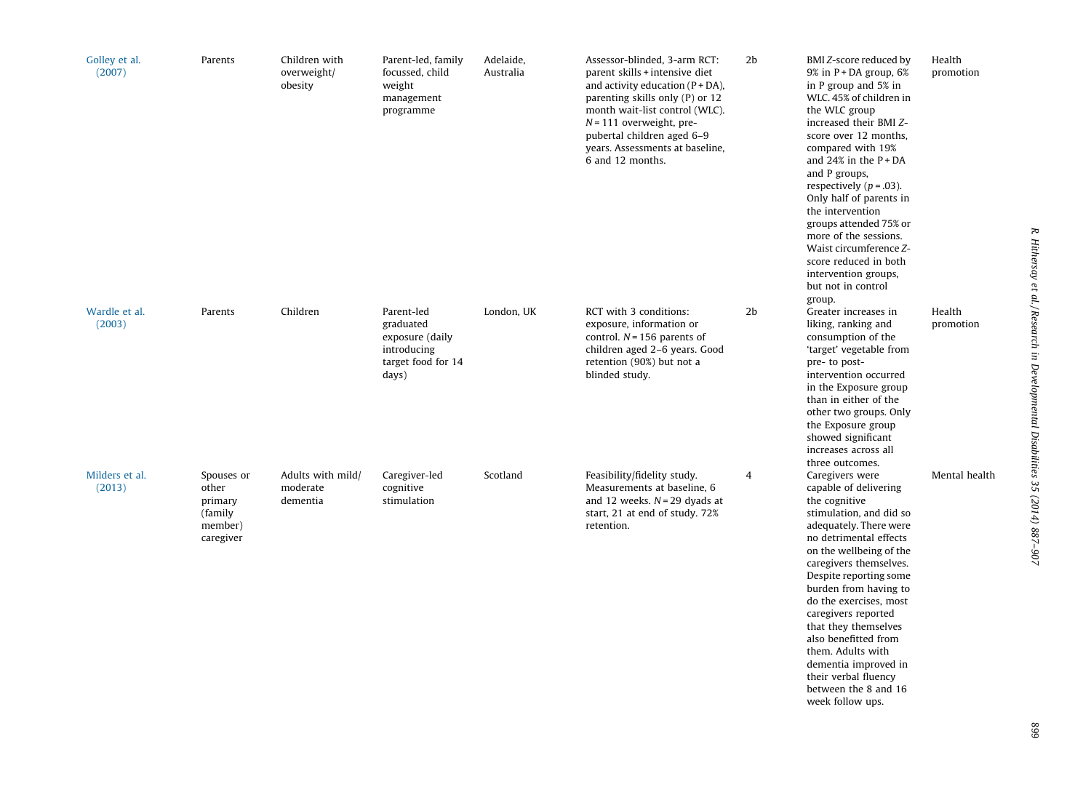| Golley et al.<br>(2007)  | Parents                                                           | Children with<br>overweight/<br>obesity   | Parent-led, family<br>focussed, child<br>weight<br>management<br>programme               | Adelaide,<br>Australia | Assessor-blinded, 3-arm RCT:<br>parent skills + intensive diet<br>and activity education $(P + DA)$ ,<br>parenting skills only (P) or 12<br>month wait-list control (WLC).<br>$N = 111$ overweight, pre-<br>pubertal children aged 6-9<br>years. Assessments at baseline,<br>6 and 12 months. | 2 <sub>b</sub> | BMI Z-score reduced by<br>$9\%$ in P + DA group, 6%<br>in P group and 5% in<br>WLC. 45% of children in<br>the WLC group<br>increased their BMI Z-<br>score over 12 months,<br>compared with 19%<br>and $24\%$ in the P + DA<br>and P groups,<br>respectively ( $p = .03$ ).<br>Only half of parents in<br>the intervention<br>groups attended 75% or<br>more of the sessions.<br>Waist circumference Z-<br>score reduced in both<br>intervention groups,<br>but not in control<br>group. | Health<br>promotion |
|--------------------------|-------------------------------------------------------------------|-------------------------------------------|------------------------------------------------------------------------------------------|------------------------|-----------------------------------------------------------------------------------------------------------------------------------------------------------------------------------------------------------------------------------------------------------------------------------------------|----------------|------------------------------------------------------------------------------------------------------------------------------------------------------------------------------------------------------------------------------------------------------------------------------------------------------------------------------------------------------------------------------------------------------------------------------------------------------------------------------------------|---------------------|
| Wardle et al.<br>(2003)  | Parents                                                           | Children                                  | Parent-led<br>graduated<br>exposure (daily<br>introducing<br>target food for 14<br>days) | London. UK             | RCT with 3 conditions:<br>exposure, information or<br>control. $N = 156$ parents of<br>children aged 2-6 years. Good<br>retention (90%) but not a<br>blinded study.                                                                                                                           | 2 <sub>b</sub> | Greater increases in<br>liking, ranking and<br>consumption of the<br>'target' vegetable from<br>pre- to post-<br>intervention occurred<br>in the Exposure group<br>than in either of the<br>other two groups. Only<br>the Exposure group<br>showed significant<br>increases across all<br>three outcomes.                                                                                                                                                                                | Health<br>promotion |
| Milders et al.<br>(2013) | Spouses or<br>other<br>primary<br>(family<br>member)<br>caregiver | Adults with mild/<br>moderate<br>dementia | Caregiver-led<br>cognitive<br>stimulation                                                | Scotland               | Feasibility/fidelity study.<br>Measurements at baseline, 6<br>and 12 weeks. $N = 29$ dyads at<br>start, 21 at end of study. 72%<br>retention.                                                                                                                                                 | 4              | Caregivers were<br>capable of delivering<br>the cognitive<br>stimulation, and did so<br>adequately. There were<br>no detrimental effects<br>on the wellbeing of the<br>caregivers themselves.<br>Despite reporting some<br>burden from having to<br>do the exercises, most<br>caregivers reported<br>that they themselves<br>also benefitted from<br>them. Adults with<br>dementia improved in                                                                                           | Mental health       |

their verbal fluency between the 8 and 16 week follow ups.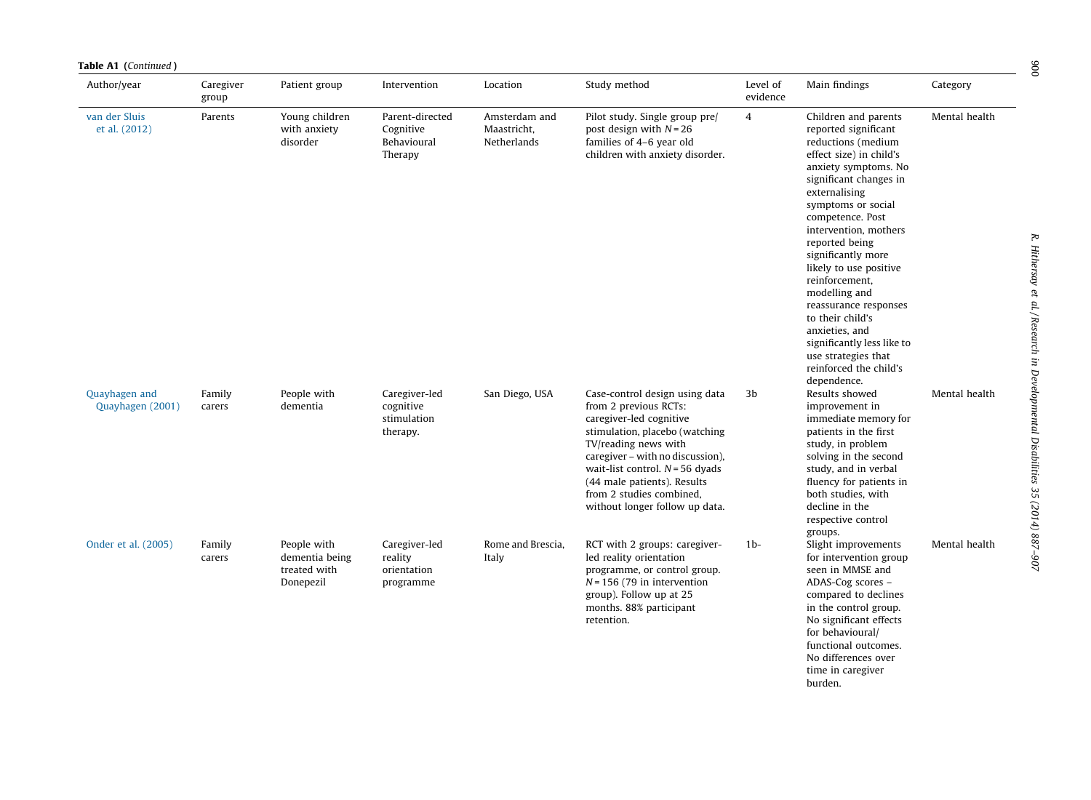| Table A1 (Continued)              |                    |                                                            |                                                        |                                             |                                                                                                                                                                                                                                                                                                                    |                      |                                                                                                                                                                                                                                                                                                                                                                                                                                                                                                       |               |  |  |
|-----------------------------------|--------------------|------------------------------------------------------------|--------------------------------------------------------|---------------------------------------------|--------------------------------------------------------------------------------------------------------------------------------------------------------------------------------------------------------------------------------------------------------------------------------------------------------------------|----------------------|-------------------------------------------------------------------------------------------------------------------------------------------------------------------------------------------------------------------------------------------------------------------------------------------------------------------------------------------------------------------------------------------------------------------------------------------------------------------------------------------------------|---------------|--|--|
| Author/year                       | Caregiver<br>group | Patient group                                              | Intervention                                           | Location                                    | Study method                                                                                                                                                                                                                                                                                                       | Level of<br>evidence | Main findings                                                                                                                                                                                                                                                                                                                                                                                                                                                                                         | Category      |  |  |
| van der Sluis<br>et al. (2012)    | Parents            | Young children<br>with anxiety<br>disorder                 | Parent-directed<br>Cognitive<br>Behavioural<br>Therapy | Amsterdam and<br>Maastricht,<br>Netherlands | Pilot study. Single group pre/<br>post design with $N = 26$<br>families of 4-6 year old<br>children with anxiety disorder.                                                                                                                                                                                         | $\overline{4}$       | Children and parents<br>reported significant<br>reductions (medium<br>effect size) in child's<br>anxiety symptoms. No<br>significant changes in<br>externalising<br>symptoms or social<br>competence. Post<br>intervention, mothers<br>reported being<br>significantly more<br>likely to use positive<br>reinforcement,<br>modelling and<br>reassurance responses<br>to their child's<br>anxieties, and<br>significantly less like to<br>use strategies that<br>reinforced the child's<br>dependence. | Mental health |  |  |
| Quayhagen and<br>Quayhagen (2001) | Family<br>carers   | People with<br>dementia                                    | Caregiver-led<br>cognitive<br>stimulation<br>therapy.  | San Diego, USA                              | Case-control design using data<br>from 2 previous RCTs:<br>caregiver-led cognitive<br>stimulation, placebo (watching<br>TV/reading news with<br>caregiver - with no discussion),<br>wait-list control. $N = 56$ dyads<br>(44 male patients). Results<br>from 2 studies combined,<br>without longer follow up data. | 3b                   | Results showed<br>improvement in<br>immediate memory for<br>patients in the first<br>study, in problem<br>solving in the second<br>study, and in verbal<br>fluency for patients in<br>both studies, with<br>decline in the<br>respective control<br>groups.                                                                                                                                                                                                                                           | Mental health |  |  |
| Onder et al. (2005)               | Family<br>carers   | People with<br>dementia being<br>treated with<br>Donepezil | Caregiver-led<br>reality<br>orientation<br>programme   | Rome and Brescia,<br>Italy                  | RCT with 2 groups: caregiver-<br>led reality orientation<br>programme, or control group.<br>$N = 156$ (79 in intervention<br>group). Follow up at 25<br>months. 88% participant<br>retention.                                                                                                                      | 1 <sub>b</sub>       | Slight improvements<br>for intervention group<br>seen in MMSE and<br>ADAS-Cog scores -<br>compared to declines<br>in the control group.<br>No significant effects<br>for behavioural/<br>functional outcomes.<br>No differences over<br>time in caregiver                                                                                                                                                                                                                                             | Mental health |  |  |

 $006\,$ 

burden.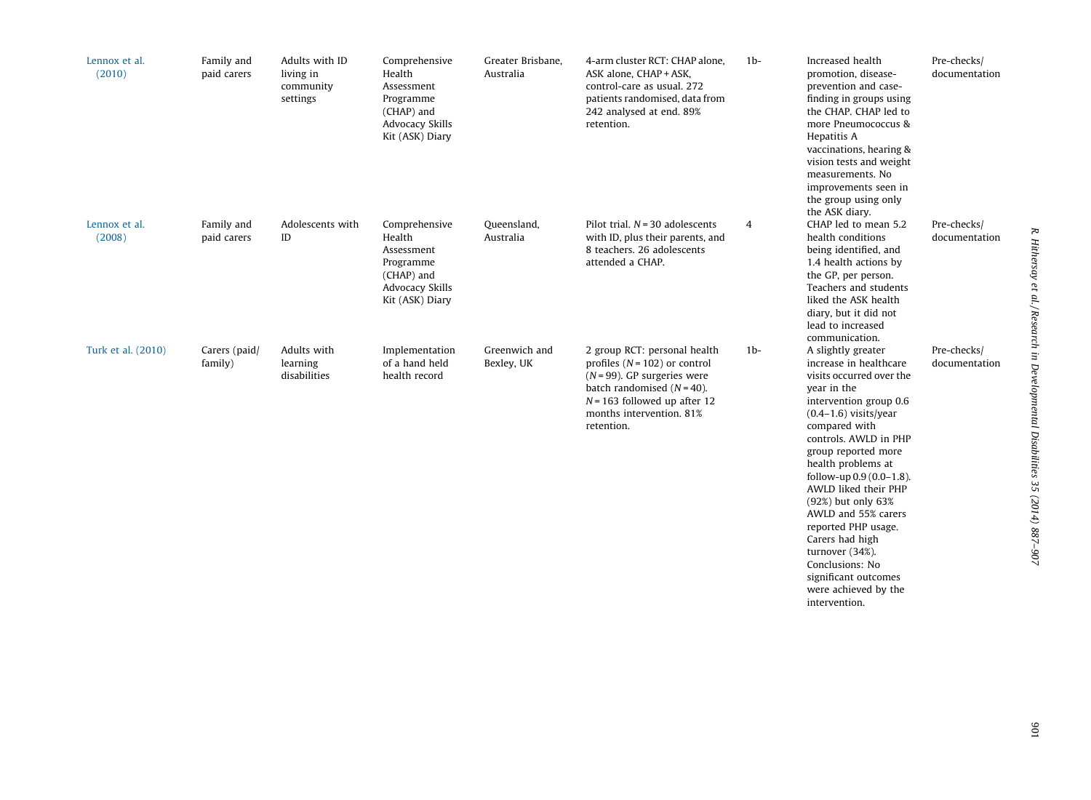| Lennox et al.<br>(2010) | Family and<br>paid carers | Adults with ID<br>living in<br>community<br>settings | Comprehensive<br>Health<br>Assessment<br>Programme<br>(CHAP) and<br>Advocacy Skills<br>Kit (ASK) Diary | Greater Brisbane,<br>Australia | 4-arm cluster RCT: CHAP alone,<br>ASK alone, CHAP + ASK,<br>control-care as usual, 272<br>patients randomised, data from<br>242 analysed at end. 89%<br>retention.                                               | 1 <sub>b</sub> | Increased health<br>promotion, disease-<br>prevention and case-<br>finding in groups using<br>the CHAP. CHAP led to<br>more Pneumococcus &<br>Hepatitis A<br>vaccinations, hearing &<br>vision tests and weight<br>measurements. No<br>improvements seen in<br>the group using only<br>the ASK diary.                                                                                                                                                                                 | Pre-checks/<br>documentation |
|-------------------------|---------------------------|------------------------------------------------------|--------------------------------------------------------------------------------------------------------|--------------------------------|------------------------------------------------------------------------------------------------------------------------------------------------------------------------------------------------------------------|----------------|---------------------------------------------------------------------------------------------------------------------------------------------------------------------------------------------------------------------------------------------------------------------------------------------------------------------------------------------------------------------------------------------------------------------------------------------------------------------------------------|------------------------------|
| Lennox et al.<br>(2008) | Family and<br>paid carers | Adolescents with<br>ID                               | Comprehensive<br>Health<br>Assessment<br>Programme<br>(CHAP) and<br>Advocacy Skills<br>Kit (ASK) Diary | Queensland,<br>Australia       | Pilot trial, $N = 30$ adolescents<br>with ID, plus their parents, and<br>8 teachers. 26 adolescents<br>attended a CHAP.                                                                                          | 4              | CHAP led to mean 5.2<br>health conditions<br>being identified, and<br>1.4 health actions by<br>the GP, per person.<br>Teachers and students<br>liked the ASK health<br>diary, but it did not<br>lead to increased<br>communication.                                                                                                                                                                                                                                                   | Pre-checks/<br>documentation |
| Turk et al. (2010)      | Carers (paid/<br>family)  | Adults with<br>learning<br>disabilities              | Implementation<br>of a hand held<br>health record                                                      | Greenwich and<br>Bexley, UK    | 2 group RCT: personal health<br>profiles ( $N = 102$ ) or control<br>$(N = 99)$ . GP surgeries were<br>batch randomised $(N = 40)$ .<br>$N = 163$ followed up after 12<br>months intervention. 81%<br>retention. | 1 <sub>b</sub> | A slightly greater<br>increase in healthcare<br>visits occurred over the<br>year in the<br>intervention group 0.6<br>$(0.4-1.6)$ visits/year<br>compared with<br>controls. AWLD in PHP<br>group reported more<br>health problems at<br>follow-up 0.9 (0.0-1.8).<br>AWLD liked their PHP<br>(92%) but only 63%<br>AWLD and 55% carers<br>reported PHP usage.<br>Carers had high<br>turnover (34%).<br>Conclusions: No<br>significant outcomes<br>were achieved by the<br>intervention. | Pre-checks/<br>documentation |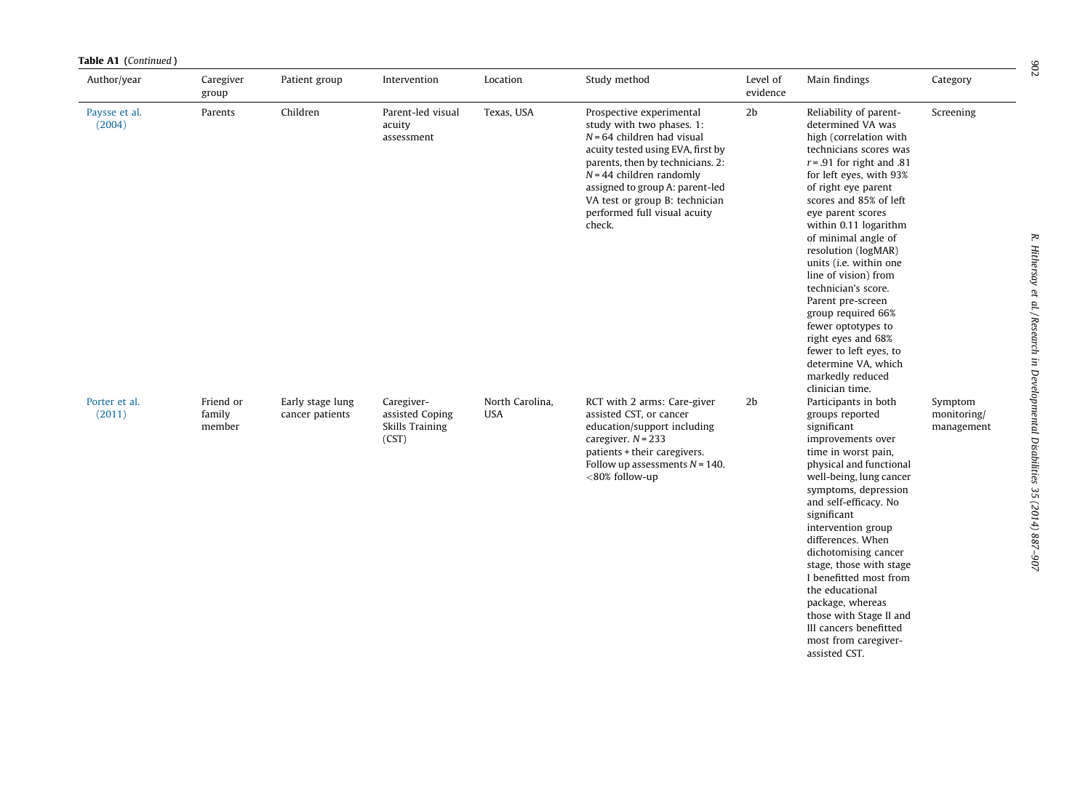|                         | Table A1 (Continued)          |                                     |                                                           |                               |                                                                                                                                                                                                                                                                                                             |                      |                                                                                                                                                                                                                                                                                                                                                                                                                                                                                                                                                                |                                      |  |  |  |
|-------------------------|-------------------------------|-------------------------------------|-----------------------------------------------------------|-------------------------------|-------------------------------------------------------------------------------------------------------------------------------------------------------------------------------------------------------------------------------------------------------------------------------------------------------------|----------------------|----------------------------------------------------------------------------------------------------------------------------------------------------------------------------------------------------------------------------------------------------------------------------------------------------------------------------------------------------------------------------------------------------------------------------------------------------------------------------------------------------------------------------------------------------------------|--------------------------------------|--|--|--|
| Author/year             | Caregiver<br>group            | Patient group                       | Intervention                                              | Location                      | Study method                                                                                                                                                                                                                                                                                                | Level of<br>evidence | Main findings                                                                                                                                                                                                                                                                                                                                                                                                                                                                                                                                                  | Category                             |  |  |  |
| Paysse et al.<br>(2004) | Parents                       | Children                            | Parent-led visual<br>acuity<br>assessment                 | Texas, USA                    | Prospective experimental<br>study with two phases. 1:<br>$N = 64$ children had visual<br>acuity tested using EVA, first by<br>parents, then by technicians. 2:<br>$N = 44$ children randomly<br>assigned to group A: parent-led<br>VA test or group B: technician<br>performed full visual acuity<br>check. | 2 <sub>b</sub>       | Reliability of parent-<br>determined VA was<br>high (correlation with<br>technicians scores was<br>$r = .91$ for right and .81<br>for left eyes, with 93%<br>of right eye parent<br>scores and 85% of left<br>eye parent scores<br>within 0.11 logarithm<br>of minimal angle of<br>resolution (logMAR)<br>units (i.e. within one<br>line of vision) from<br>technician's score.<br>Parent pre-screen<br>group required 66%<br>fewer optotypes to<br>right eyes and 68%<br>fewer to left eyes, to<br>determine VA, which<br>markedly reduced<br>clinician time. | Screening                            |  |  |  |
| Porter et al.<br>(2011) | Friend or<br>family<br>member | Early stage lung<br>cancer patients | Caregiver-<br>assisted Coping<br>Skills Training<br>(CST) | North Carolina,<br><b>USA</b> | RCT with 2 arms: Care-giver<br>assisted CST, or cancer<br>education/support including<br>caregiver, $N = 233$<br>patients + their caregivers.<br>Follow up assessments $N = 140$ .<br><80% follow-up                                                                                                        | 2 <sub>b</sub>       | Participants in both<br>groups reported<br>significant<br>improvements over<br>time in worst pain,<br>physical and functional<br>well-being, lung cancer<br>symptoms, depression<br>and self-efficacy. No<br>significant<br>intervention group<br>differences. When<br>dichotomising cancer<br>stage, those with stage<br>I benefitted most from<br>the educational<br>package, whereas<br>those with Stage II and<br>III cancers benefitted<br>most from caregiver-<br>assisted CST.                                                                          | Symptom<br>monitoring/<br>management |  |  |  |

R. Hithersay et al. / Research in Developmental Disabilities 55 (2014) 902 - R. Hithersay et al. / Research in Developmental Disabilities 35 (2014) 887–907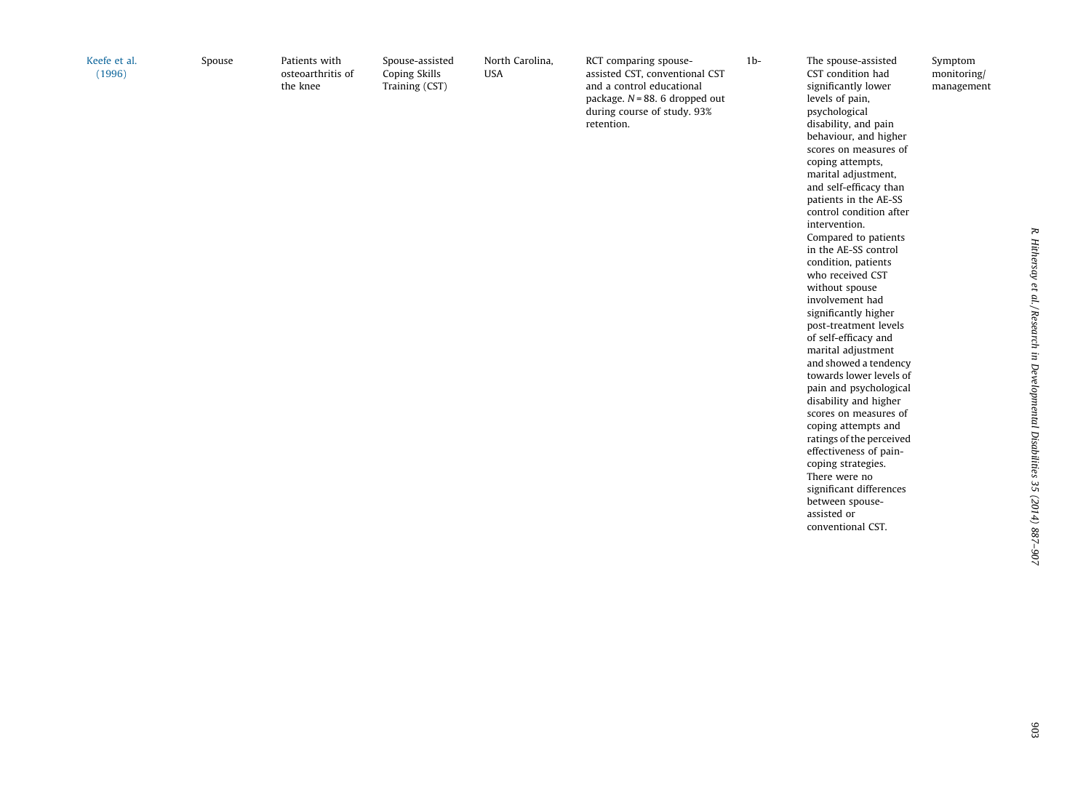[Keefe](#page-19-0) et al.[\(1996\)](#page-19-0)

Spouse Patients with

osteoarthritis ofthe knee

Spouse-assisted Coping Skills Training (CST)

North Carolina, USA

RCT comparing spouseassisted CST, conventional CST and a control educationalpackage.  $N = 88$ . 6 dropped out during course of study. 93% retention.

1b- The spouse-assisted CST condition had significantly lower levels of pain, psychological disability, and pain behaviour, and higher scores on measures ofcoping attempts, marital adjustment, and self-efficacy than patients in the AE-SS control condition after intervention.Compared to patients in the AE-SS control condition, patients who received CST without spouse involvement had significantly higher post-treatment levels of self-efficacy and marital adjustment and showed <sup>a</sup> tendency towards lower levels of pain and psychological disability and higher scores on measures of coping attempts and ratings of the perceived effectiveness of paincoping strategies. There were no significant differences between spouseassisted or conventional CST.

Symptom monitoring/ management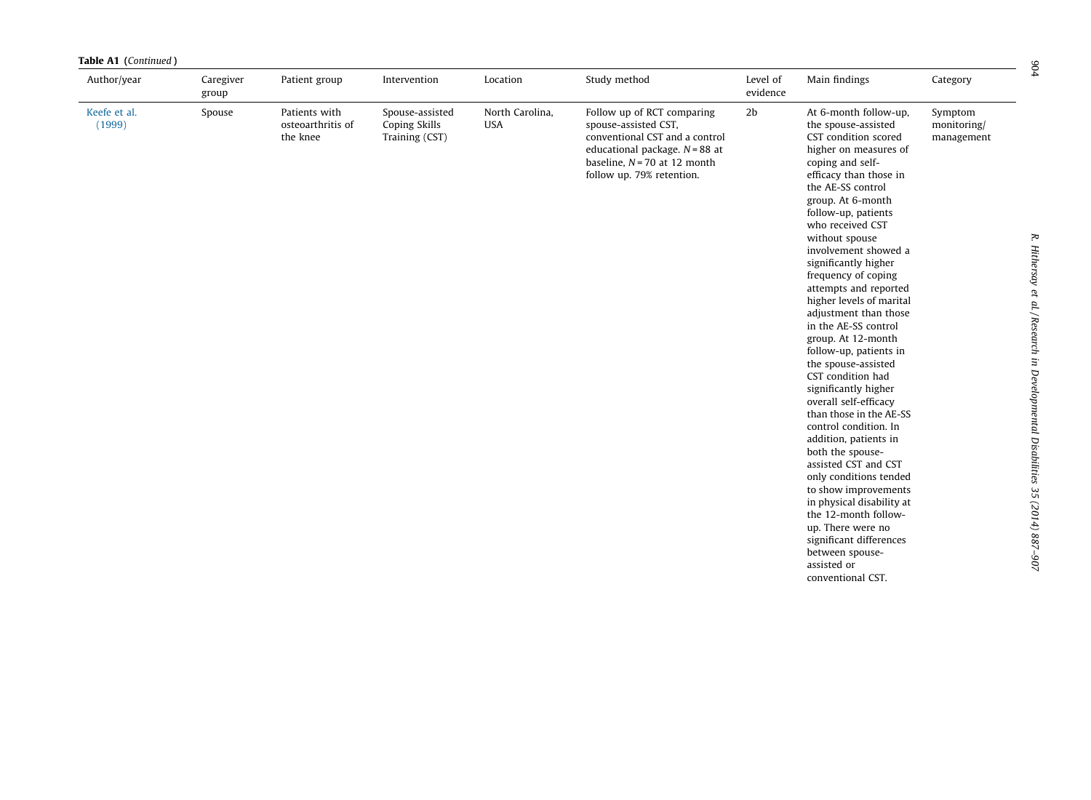| Table A1 (Continued)   |                    |                                                |                                                    |                               |                                                                                                                                                                                         |                      |                                                                                                                                                                                                                                                                                                                                                                                                                                                                                                                                                                                                                                                                                                                                                                                                                                                                                                                     |                                      |  |  |  |  |
|------------------------|--------------------|------------------------------------------------|----------------------------------------------------|-------------------------------|-----------------------------------------------------------------------------------------------------------------------------------------------------------------------------------------|----------------------|---------------------------------------------------------------------------------------------------------------------------------------------------------------------------------------------------------------------------------------------------------------------------------------------------------------------------------------------------------------------------------------------------------------------------------------------------------------------------------------------------------------------------------------------------------------------------------------------------------------------------------------------------------------------------------------------------------------------------------------------------------------------------------------------------------------------------------------------------------------------------------------------------------------------|--------------------------------------|--|--|--|--|
| Author/year            | Caregiver<br>group | Patient group                                  | Intervention                                       | Location                      | Study method                                                                                                                                                                            | Level of<br>evidence | Main findings                                                                                                                                                                                                                                                                                                                                                                                                                                                                                                                                                                                                                                                                                                                                                                                                                                                                                                       | Category                             |  |  |  |  |
| Keefe et al.<br>(1999) | Spouse             | Patients with<br>osteoarthritis of<br>the knee | Spouse-assisted<br>Coping Skills<br>Training (CST) | North Carolina,<br><b>USA</b> | Follow up of RCT comparing<br>spouse-assisted CST,<br>conventional CST and a control<br>educational package, $N = 88$ at<br>baseline, $N = 70$ at 12 month<br>follow up. 79% retention. | 2 <sub>b</sub>       | At 6-month follow-up,<br>the spouse-assisted<br>CST condition scored<br>higher on measures of<br>coping and self-<br>efficacy than those in<br>the AE-SS control<br>group. At 6-month<br>follow-up, patients<br>who received CST<br>without spouse<br>involvement showed a<br>significantly higher<br>frequency of coping<br>attempts and reported<br>higher levels of marital<br>adjustment than those<br>in the AE-SS control<br>group. At 12-month<br>follow-up, patients in<br>the spouse-assisted<br>CST condition had<br>significantly higher<br>overall self-efficacy<br>than those in the AE-SS<br>control condition. In<br>addition, patients in<br>both the spouse-<br>assisted CST and CST<br>only conditions tended<br>to show improvements<br>in physical disability at<br>the 12-month follow-<br>up. There were no<br>significant differences<br>between spouse-<br>assisted or<br>conventional CST. | Symptom<br>monitoring/<br>management |  |  |  |  |

Disabilities

55 (2014)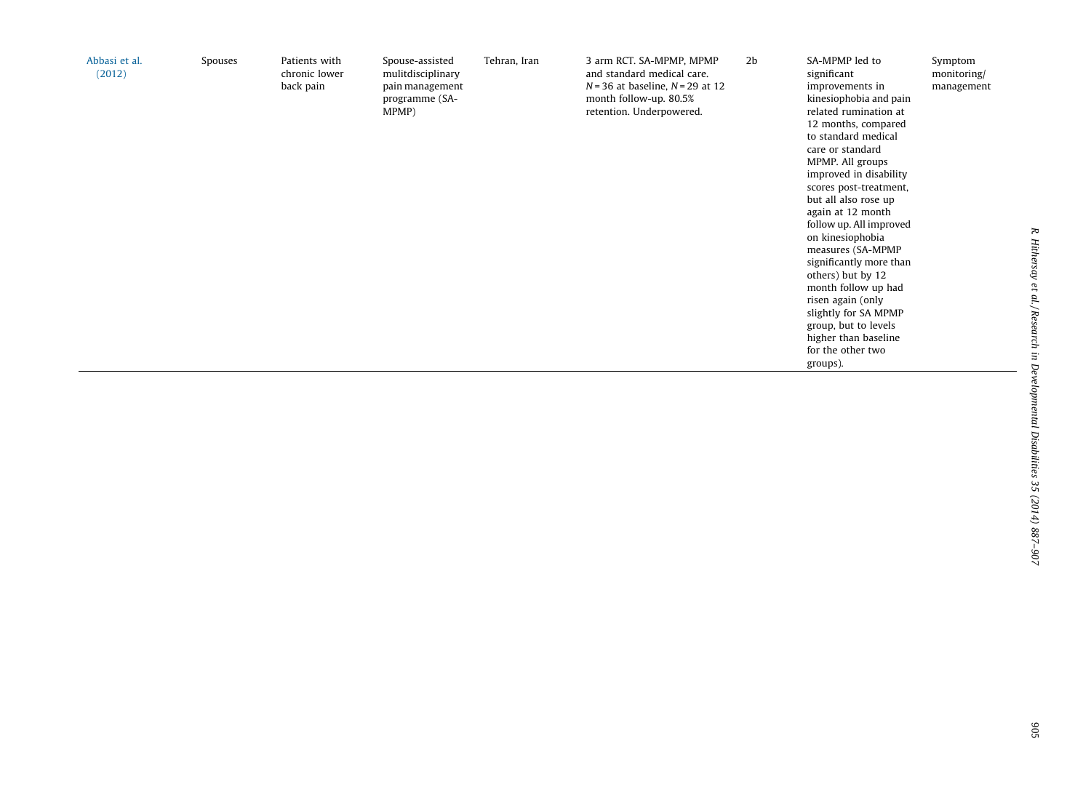| Abbasi et al.<br>(2012) | Spouses | Patients with<br>chronic lower<br>back pain | Spouse-assisted<br>mulitdisciplinary<br>pain management<br>programme (SA-<br>MPMP) | Tehran, Iran | 3 arm RCT. SA-MPMP, MPMP<br>and standard medical care.<br>$N = 36$ at baseline, $N = 29$ at 12<br>month follow-up. 80.5%<br>retention. Underpowered. | 2 <sub>b</sub> | SA-MPMP led to<br>significant<br>improvements in<br>kinesiophobia and pain<br>related rumination at<br>12 months, compared<br>to standard medical<br>care or standard<br>MPMP. All groups<br>improved in disability<br>scores post-treatment,<br>but all also rose up<br>again at 12 month<br>follow up. All improved<br>on kinesiophobia<br>measures (SA-MPMP<br>significantly more than<br>others) but by 12<br>month follow up had<br>risen again (only<br>slightly for SA MPMP<br>group, but to levels<br>higher than baseline<br>for the other two<br>groups). | Symptom<br>monitoring/<br>management |
|-------------------------|---------|---------------------------------------------|------------------------------------------------------------------------------------|--------------|------------------------------------------------------------------------------------------------------------------------------------------------------|----------------|---------------------------------------------------------------------------------------------------------------------------------------------------------------------------------------------------------------------------------------------------------------------------------------------------------------------------------------------------------------------------------------------------------------------------------------------------------------------------------------------------------------------------------------------------------------------|--------------------------------------|
|-------------------------|---------|---------------------------------------------|------------------------------------------------------------------------------------|--------------|------------------------------------------------------------------------------------------------------------------------------------------------------|----------------|---------------------------------------------------------------------------------------------------------------------------------------------------------------------------------------------------------------------------------------------------------------------------------------------------------------------------------------------------------------------------------------------------------------------------------------------------------------------------------------------------------------------------------------------------------------------|--------------------------------------|

 $\overline{\phantom{0}}$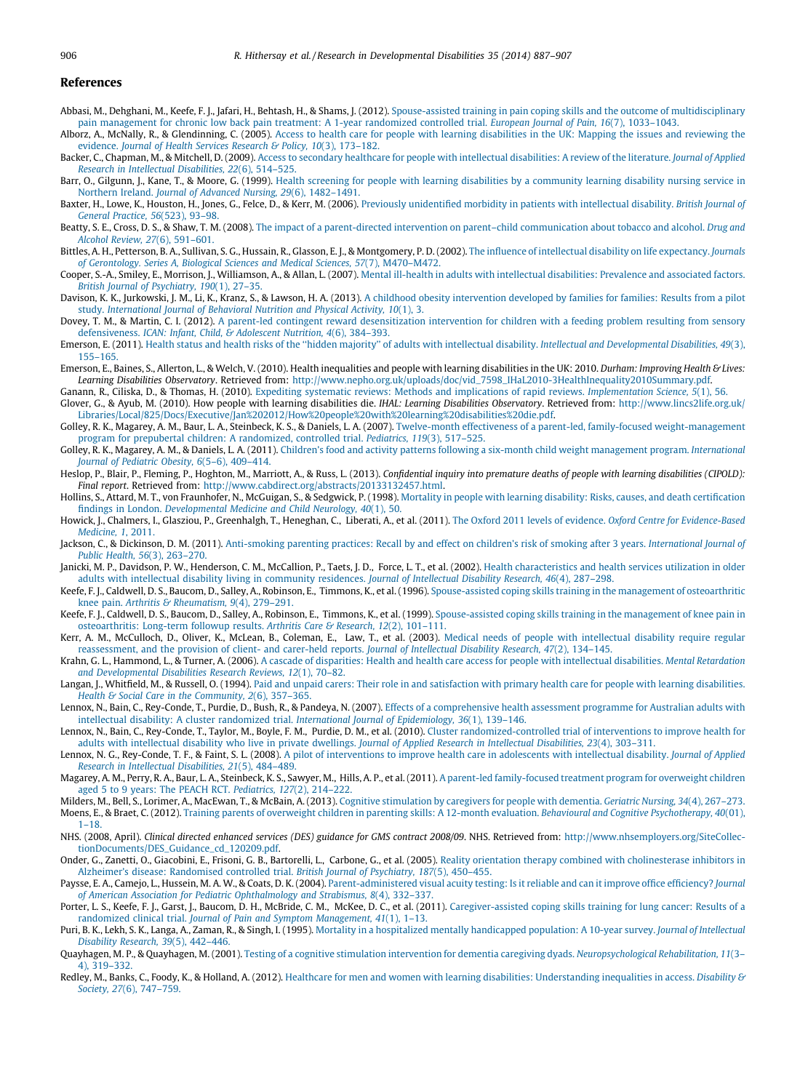#### <span id="page-19-0"></span>References

- Abbasi, M., Dehghani, M., Keefe, F. J., Jafari, H., Behtash, H., & Shams, J. (2012). Spouse-assisted training in pain coping skills and the outcome of [multidisciplinary](http://refhub.elsevier.com/S0891-4222(14)00014-6/sbref0005) pain [management](http://refhub.elsevier.com/S0891-4222(14)00014-6/sbref0005) for chronic low back pain treatment: A 1-year randomized controlled trial. European Journal of Pain, 16(7), 1033-1043.
- Alborz, A., McNally, R., & Glendinning, C. (2005). Access to health care for people with learning [disabilities](http://refhub.elsevier.com/S0891-4222(14)00014-6/sbref0010) in the UK: Mapping the issues and reviewing the [evidence.](http://refhub.elsevier.com/S0891-4222(14)00014-6/sbref0010) Journal of Health Services Research & Policy, 10(3), 173–182.
- Backer, C., Chapman, M., & Mitchell, D. (2009). Access to secondary healthcare for people with intellectual [disabilities:](http://refhub.elsevier.com/S0891-4222(14)00014-6/sbref0015) A review of the literature. Journal of Applied Research in Intellectual [Disabilities,](http://refhub.elsevier.com/S0891-4222(14)00014-6/sbref0015) 22(6), 514–525.
- Barr, O., Gilgunn, J., Kane, T., & Moore, G. (1999). Health screening for people with learning disabilities by a [community](http://refhub.elsevier.com/S0891-4222(14)00014-6/sbref0020) learning disability nursing service in Northern Ireland. Journal of Advanced Nursing, 29(6), [1482–1491.](http://refhub.elsevier.com/S0891-4222(14)00014-6/sbref0020)
- Baxter, H., Lowe, K., Houston, H., Jones, G., Felce, D., & Kerr, M. (2006). Previously [unidentified](http://refhub.elsevier.com/S0891-4222(14)00014-6/sbref0025) morbidity in patients with intellectual disability. British Journal of General [Practice,](http://refhub.elsevier.com/S0891-4222(14)00014-6/sbref0025) 56(523), 93–98.
- Beatty, S. E., Cross, D. S., & Shaw, T. M. (2008). The impact of a parent-directed intervention on parent-child [communication](http://refhub.elsevier.com/S0891-4222(14)00014-6/sbref0030) about tobacco and alcohol. Drug and Alcohol Review, 27(6), [591–601](http://refhub.elsevier.com/S0891-4222(14)00014-6/sbref0030).
- Bittles, A. H., Petterson, B. A., Sullivan, S. G., Hussain, R., Glasson, E. L. & Montgomery, P. D. (2002). The influence of intellectual disability on life expectancy, Journals of Gerontology. Series A, Biological Sciences and Medical Sciences, 57(7), [M470–M472.](http://refhub.elsevier.com/S0891-4222(14)00014-6/sbref0035)
- Cooper, S.-A., Smiley, E., Morrison, J., Williamson, A., & Allan, L. (2007). Mental ill-health in adults with intellectual [disabilities:](http://refhub.elsevier.com/S0891-4222(14)00014-6/sbref0040) Prevalence and associated factors. British Journal of [Psychiatry,](http://refhub.elsevier.com/S0891-4222(14)00014-6/sbref0040) 190(1), 27–35.
- Davison, K. K., Jurkowski, J. M., Li, K., Kranz, S., & Lawson, H. A. (2013). A childhood obesity [intervention](http://refhub.elsevier.com/S0891-4222(14)00014-6/sbref0045) developed by families for families: Results from a pilot study. [International](http://refhub.elsevier.com/S0891-4222(14)00014-6/sbref0045) Journal of Behavioral Nutrition and Physical Activity, 10(1), 3.
- Dovey, T. M., & Martin, C. I. (2012). A parent-led contingent reward [desensitization](http://refhub.elsevier.com/S0891-4222(14)00014-6/sbref0050) intervention for children with a feeding problem resulting from sensory [defensiveness.](http://refhub.elsevier.com/S0891-4222(14)00014-6/sbref0050) ICAN: Infant, Child, & Adolescent Nutrition, 4(6), 384–393.
- Emerson, E. (2011). Health status and health risks of the "hidden majority" of adults with intellectual disability. Intellectual and [Developmental](http://refhub.elsevier.com/S0891-4222(14)00014-6/sbref0055) Disabilities, 49(3). [155–165](http://refhub.elsevier.com/S0891-4222(14)00014-6/sbref0055).
- Emerson, E., Baines, S., Allerton, L., & Welch, V. (2010). Health inequalities and people with learning disabilities in the UK: 2010. Durham: Improving Health & Lives: Learning Disabilities Observatory. Retrieved from: [http://www.nepho.org.uk/uploads/doc/vid\\_7598\\_IHaL2010-3HealthInequality2010Summary.pdf.](http://www.nepho.org.uk/uploads/doc/vid_7598_IHaL2010-3HealthInequality2010Summary.pdf)
- Ganann, R., Ciliska, D., & Thomas, H. (2010). Expediting systematic reviews: Methods and implications of rapid reviews. [Implementation](http://refhub.elsevier.com/S0891-4222(14)00014-6/sbref0065) Science, 5(1), 56.
- Glover, G., & Ayub, M. (2010). How people with learning disabilities die. IHAL: Learning Disabilities Observatory. Retrieved from: [http://www.lincs2life.org.uk/](http://www.lincs2life.org.uk/Libraries/Local/825/Docs/Executive/Jan 2012/How people with learning disabilities die.pdf) [Libraries/Local/825/Docs/Executive/Jan%202012/How%20people%20with%20learning%20disabilities%20die.pdf.](http://www.lincs2life.org.uk/Libraries/Local/825/Docs/Executive/Jan 2012/How people with learning disabilities die.pdf)
- Golley, R. K., Magarey, A. M., Baur, L. A., Steinbeck, K. S., & Daniels, L. A. (2007). Twelve-month effectiveness of a parent-led, family-focused [weight-management](http://refhub.elsevier.com/S0891-4222(14)00014-6/sbref0075) program for prepubertal children: A [randomized,](http://refhub.elsevier.com/S0891-4222(14)00014-6/sbref0075) controlled trial. Pediatrics, 119(3), 517–525.
- Golley, R. K., Magarey, A. M., & Daniels, L. A. (2011). Children's food and activity patterns following a six-month child weight [management](http://refhub.elsevier.com/S0891-4222(14)00014-6/sbref0080) program. International Journal of Pediatric Obesity, 6(5–6), [409–414](http://refhub.elsevier.com/S0891-4222(14)00014-6/sbref0080).
- Heslop, P., Blair, P., Fleming, P., Hoghton, M., Marriott, A., & Russ, L. (2013). Confidential inquiry into premature deaths of people with learning disabilities (CIPOLD): Final report. Retrieved from: [http://www.cabdirect.org/abstracts/20133132457.html.](http://www.cabdirect.org/abstracts/20133132457.html)
- Hollins, S., Attard, M. T., von Fraunhofer, N., McGuigan, S., & Sedgwick, P. (1998). Mortality in people with learning disability: Risks, causes, and death [certification](http://refhub.elsevier.com/S0891-4222(14)00014-6/sbref0090) findings in London. [Developmental](http://refhub.elsevier.com/S0891-4222(14)00014-6/sbref0090) Medicine and Child Neurology, 40(1), 50.
- Howick, J., Chalmers, I., Glasziou, P., Greenhalgh, T., Heneghan, C., Liberati, A., et al. (2011). The Oxford 2011 levels of evidence. Oxford Centre for [Evidence-Based](http://refhub.elsevier.com/S0891-4222(14)00014-6/sbref0095) [Medicine,](http://refhub.elsevier.com/S0891-4222(14)00014-6/sbref0095) 1, 2011.
- Jackson, C., & Dickinson, D. M. (2011). [Anti-smoking](http://refhub.elsevier.com/S0891-4222(14)00014-6/sbref0100) parenting practices: Recall by and effect on children's risk of smoking after 3 years. International Journal of Public Health, 56(3), [263–270](http://refhub.elsevier.com/S0891-4222(14)00014-6/sbref0100).
- Janicki, M. P., Davidson, P. W., Henderson, C. M., McCallion, P., Taets, J. D., Force, L. T., et al. (2002). Health [characteristics](http://refhub.elsevier.com/S0891-4222(14)00014-6/sbref0105) and health services utilization in older adults with intellectual disability living in [community](http://refhub.elsevier.com/S0891-4222(14)00014-6/sbref0105) residences. Journal of Intellectual Disability Research, 46(4), 287-298.
- Keefe, F. J., Caldwell, D. S., Baucom, D., Salley, A., Robinson, E., Timmons, K., et al. (1996). [Spouse-assisted](http://refhub.elsevier.com/S0891-4222(14)00014-6/sbref0110) coping skills training in the management of osteoarthritic knee pain. Arthritis & [Rheumatism,](http://refhub.elsevier.com/S0891-4222(14)00014-6/sbref0110) 9(4), 279-291.
- Keefe, F. J., Caldwell, D. S., Baucom, D., Salley, A., Robinson, E., Timmons, K., et al. (1999). [Spouse-assisted](http://refhub.elsevier.com/S0891-4222(14)00014-6/sbref0115) coping skills training in the management of knee pain in [osteoarthritis:](http://refhub.elsevier.com/S0891-4222(14)00014-6/sbref0115) Long-term followup results. Arthritis Care & Research, 12(2), 101–111.
- Kerr, A. M., McCulloch, D., Oliver, K., McLean, B., Coleman, E., Law, T., et al. (2003). Medical needs of people with [intellectual](http://refhub.elsevier.com/S0891-4222(14)00014-6/sbref0120) disability require regular [reassessment,](http://refhub.elsevier.com/S0891-4222(14)00014-6/sbref0120) and the provision of client- and carer-held reports. Journal of Intellectual Disability Research, 47(2), 134–145.
- Krahn, G. L., Hammond, L., & Turner, A. (2006). A cascade of disparities: Health and health care access for people with intellectual [disabilities.](http://refhub.elsevier.com/S0891-4222(14)00014-6/sbref0125) Mental Retardation and [Developmental](http://refhub.elsevier.com/S0891-4222(14)00014-6/sbref0125) Disabilities Research Reviews, 12(1), 70–82.
- Langan, J., Whitfield, M., & Russell, O. (1994). Paid and unpaid carers: Their role in and [satisfaction](http://refhub.elsevier.com/S0891-4222(14)00014-6/sbref0130) with primary health care for people with learning disabilities. Health & Social Care in the [Community,](http://refhub.elsevier.com/S0891-4222(14)00014-6/sbref0130) 2(6), 357-365.
- Lennox, N., Bain, C., Rey-Conde, T., Purdie, D., Bush, R., & Pandeya, N. (2007). Effects of a [comprehensive](http://refhub.elsevier.com/S0891-4222(14)00014-6/sbref0135) health assessment programme for Australian adults with intellectual disability: A cluster randomized trial. International Journal of [Epidemiology,](http://refhub.elsevier.com/S0891-4222(14)00014-6/sbref0135) 36(1), 139–146.
- Lennox, N., Bain, C., Rey-Conde, T., Taylor, M., Boyle, F. M., Purdie, D. M., et al. (2010). Cluster [randomized-controlled](http://refhub.elsevier.com/S0891-4222(14)00014-6/sbref0140) trial of interventions to improve health for adults with [intellectual](http://refhub.elsevier.com/S0891-4222(14)00014-6/sbref0140) disability who live in private dwellings. Journal of Applied Research in Intellectual Disabilities, 23(4), 303–311.
- Lennox, N. G., Rey-Conde, T. F., & Faint, S. L. (2008). A pilot of [interventions](http://refhub.elsevier.com/S0891-4222(14)00014-6/sbref0145) to improve health care in adolescents with intellectual disability. Journal of Applied Research in Intellectual [Disabilities,](http://refhub.elsevier.com/S0891-4222(14)00014-6/sbref0145) 21(5), 484–489.
- Magarey, A. M., Perry, R. A., Baur, L. A., Steinbeck, K. S., Sawyer, M., Hills, A. P., et al.(2011). A parent-led [family-focused](http://refhub.elsevier.com/S0891-4222(14)00014-6/sbref0150) treatment program for overweight children aged 5 to 9 years: The PEACH RCT. [Pediatrics,](http://refhub.elsevier.com/S0891-4222(14)00014-6/sbref0150) 127(2), 214–222.
- Milders, M., Bell, S., Lorimer, A., MacEwan, T., & McBain, A. (2013). Cognitive [stimulation](http://refhub.elsevier.com/S0891-4222(14)00014-6/sbref0155) by caregivers for people with dementia. Geriatric Nursing, 34(4), 267–273. Moens, E., & Braet, C. (2012). Training parents of overweight children in parenting skills: A 12-month evaluation. Behavioural and Cognitive [Psychotherapy,](http://refhub.elsevier.com/S0891-4222(14)00014-6/sbref0160) 40(01),
- [1–18.](http://refhub.elsevier.com/S0891-4222(14)00014-6/sbref0160) NHS. (2008, April). Clinical directed enhanced services (DES) guidance for GMS contract 2008/09. NHS. Retrieved from: [http://www.nhsemployers.org/SiteCollec-](http://www.nhsemployers.org/SiteCollectionDocuments/DES_Guidance_cd_120209.pdf)
- [tionDocuments/DES\\_Guidance\\_cd\\_120209.pdf.](http://www.nhsemployers.org/SiteCollectionDocuments/DES_Guidance_cd_120209.pdf) Onder, G., Zanetti, O., Giacobini, E., Frisoni, G. B., Bartorelli, L., Carbone, G., et al. (2005). Reality orientation therapy combined with [cholinesterase](http://refhub.elsevier.com/S0891-4222(14)00014-6/sbref0170) inhibitors in
- Alzheimer's disease: [Randomised](http://refhub.elsevier.com/S0891-4222(14)00014-6/sbref0170) controlled trial. British Journal of Psychiatry, 187(5), 450–455. Paysse, E. A., Camejo, L., Hussein, M. A. W., & Coats, D. K. (2004). [Parent-administered](http://refhub.elsevier.com/S0891-4222(14)00014-6/sbref0175) visual acuity testing: Is it reliable and can it improve office efficiency? Journal of American Association for Pediatric [Ophthalmology](http://refhub.elsevier.com/S0891-4222(14)00014-6/sbref0175) and Strabismus, 8(4), 332–337.
- Porter, L. S., Keefe, F. J., Garst, J., Baucom, D. H., McBride, C. M., McKee, D. C., et al. (2011). [Caregiver-assisted](http://refhub.elsevier.com/S0891-4222(14)00014-6/sbref0180) coping skills training for lung cancer: Results of a randomized clinical trial. Journal of Pain and Symptom [Management,](http://refhub.elsevier.com/S0891-4222(14)00014-6/sbref0180) 41(1), 1–13.
- Puri, B. K., Lekh, S. K., Langa, A., Zaman, R., & Singh, I. (1995). Mortality in a hospitalized mentally [handicapped](http://refhub.elsevier.com/S0891-4222(14)00014-6/sbref0185) population: A 10-year survey. Journal of Intellectual [Disability](http://refhub.elsevier.com/S0891-4222(14)00014-6/sbref0185) Research, 39(5), 442–446.
- Quayhagen, M. P., & Quayhagen, M. (2001). Testing of a cognitive stimulation intervention for dementia caregiving dyads. [Neuropsychological](http://refhub.elsevier.com/S0891-4222(14)00014-6/sbref0190) Rehabilitation, 11(3-4), [319–332.](http://refhub.elsevier.com/S0891-4222(14)00014-6/sbref0190)
- Redley, M., Banks, C., Foody, K., & Holland, A. (2012). Healthcare for men and women with learning disabilities: [Understanding](http://refhub.elsevier.com/S0891-4222(14)00014-6/sbref0195) inequalities in access. Disability  $\&$ Society, 27(6), [747–759.](http://refhub.elsevier.com/S0891-4222(14)00014-6/sbref0195)